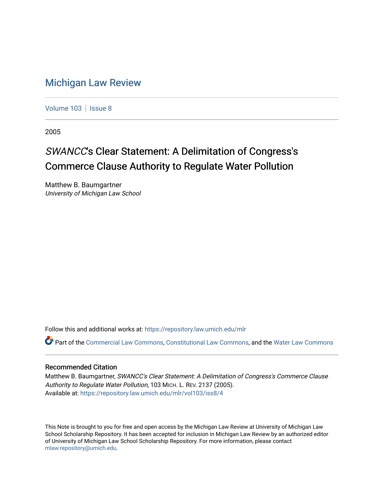# [Michigan Law Review](https://repository.law.umich.edu/mlr)

[Volume 103](https://repository.law.umich.edu/mlr/vol103) | [Issue 8](https://repository.law.umich.edu/mlr/vol103/iss8)

2005

# SWANCC's Clear Statement: A Delimitation of Congress's Commerce Clause Authority to Regulate Water Pollution

Matthew B. Baumgartner University of Michigan Law School

Follow this and additional works at: [https://repository.law.umich.edu/mlr](https://repository.law.umich.edu/mlr?utm_source=repository.law.umich.edu%2Fmlr%2Fvol103%2Fiss8%2F4&utm_medium=PDF&utm_campaign=PDFCoverPages) 

Part of the [Commercial Law Commons](http://network.bepress.com/hgg/discipline/586?utm_source=repository.law.umich.edu%2Fmlr%2Fvol103%2Fiss8%2F4&utm_medium=PDF&utm_campaign=PDFCoverPages), [Constitutional Law Commons](http://network.bepress.com/hgg/discipline/589?utm_source=repository.law.umich.edu%2Fmlr%2Fvol103%2Fiss8%2F4&utm_medium=PDF&utm_campaign=PDFCoverPages), and the [Water Law Commons](http://network.bepress.com/hgg/discipline/887?utm_source=repository.law.umich.edu%2Fmlr%2Fvol103%2Fiss8%2F4&utm_medium=PDF&utm_campaign=PDFCoverPages) 

### Recommended Citation

Matthew B. Baumgartner, SWANCC's Clear Statement: A Delimitation of Congress's Commerce Clause Authority to Regulate Water Pollution, 103 MICH. L. REV. 2137 (2005). Available at: [https://repository.law.umich.edu/mlr/vol103/iss8/4](https://repository.law.umich.edu/mlr/vol103/iss8/4?utm_source=repository.law.umich.edu%2Fmlr%2Fvol103%2Fiss8%2F4&utm_medium=PDF&utm_campaign=PDFCoverPages) 

This Note is brought to you for free and open access by the Michigan Law Review at University of Michigan Law School Scholarship Repository. It has been accepted for inclusion in Michigan Law Review by an authorized editor of University of Michigan Law School Scholarship Repository. For more information, please contact [mlaw.repository@umich.edu.](mailto:mlaw.repository@umich.edu)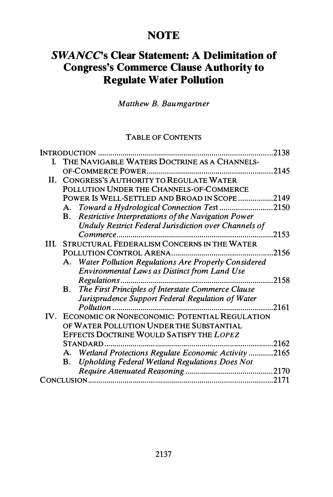# **NOTE**

# SWANCC's Clear Statement: A Delimitation of Congress's Commerce Clause Authority to Regulate Water Pollution

Matthew B. Baumgartner

# TABLE OF CONTENTS

|     | <b>INTRODUCTION</b>                                                | 2138  |
|-----|--------------------------------------------------------------------|-------|
| L.  | THE NAVIGABLE WATERS DOCTRINE AS A CHANNELS-                       |       |
|     |                                                                    | 2145  |
| II. | CONGRESS'S AUTHORITY TO REGULATE WATER                             |       |
|     | POLLUTION UNDER THE CHANNELS-OF-COMMERCE                           |       |
|     | POWER IS WELL-SETTLED AND BROAD IN SCOPE 2149                      |       |
|     | Toward a Hydrological Connection Test<br>А.                        | .2150 |
|     | Restrictive Interpretations of the Navigation Power<br>В.          |       |
|     | <b>Unduly Restrict Federal Jurisdiction over Channels of</b>       |       |
|     |                                                                    | 2153  |
| HL. | STRUCTURAL FEDERALISM CONCERNS IN THE WATER                        |       |
|     | POLLUTION CONTROL ARENA                                            | 2156  |
|     | A. Water Pollution Regulations Are Properly Considered             |       |
|     | Environmental Laws as Distinct from Land Use                       |       |
|     |                                                                    | .2158 |
|     | The First Principles of Interstate Commerce Clause<br><b>B.</b>    |       |
|     | Jurisprudence Support Federal Regulation of Water                  |       |
|     | Pollution.                                                         | 2161  |
|     | IV. ECONOMIC OR NONECONOMIC: POTENTIAL REGULATION                  |       |
|     | OF WATER POLLUTION UNDER THE SUBSTANTIAL                           |       |
|     | EFFECTS DOCTRINE WOULD SATISFY THE LOPEZ                           |       |
|     |                                                                    | .2162 |
|     | Wetland Protections Regulate Economic Activity 2165<br>А.          |       |
|     | <b>Upholding Federal Wetland Regulations Does Not</b><br><b>B.</b> |       |
|     |                                                                    | .2170 |
|     |                                                                    | 2171  |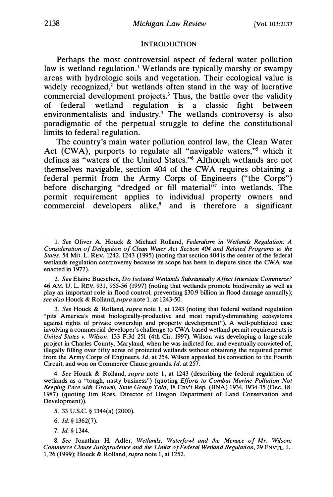#### **INTRODUCTION**

Perhaps the most controversial aspect of federal water pollution law is wetland regulation.<sup>1</sup> Wetlands are typically marshy or swampy areas with hydrologic soils and vegetation. Their ecological value is widely recognized,<sup>2</sup> but wetlands often stand in the way of lucrative commercial development projects.<sup>3</sup> Thus, the battle over the validity of federal wetland regulation is a classic fight between environmentalists and industry.4 The wetlands controversy is also paradigmatic of the perpetual struggle to define the constitutional limits to federal regulation.

The country's main water pollution control law, the Clean Water Act (CWA), purports to regulate all "navigable waters,"<sup>5</sup> which it defines as "waters of the United States."6 Although wetlands are not themselves navigable, section 404 of the CWA requires obtaining a federal permit from the Army Corps of Engineers ("the Corps") before discharging "dredged or fill material"7 into wetlands. The permit requirement applies to individual property owners and commercial developers alike,<sup>8</sup> and is therefore a significant

2. See Elaine Bueschen, Do Isolated Wetlands Substantially Affect Interstate Commerce? 46 AM. U. L. REV. 931, 955-56 (1997) (noting that wetlands promote biodiversity as well as play an important role in flood control, preventing \$30.9 billion in flood damage annually); see also Houck & Rolland, supra note 1, at 1243-50.

3. See Houck & Rolland, supra note 1, at 1243 (noting that federal wetland regulation "pits America's most biologically-productive and most rapidly-diminishing ecosystems against rights of private ownership and property development"). A well-publicized case involving a commercial developer's challenge to CW A-based wetland permit requirements is United States v. Wilson, 133 F.3d 251 (4th Cir. 1997). Wilson was developing a large-scale project in Charles County, Maryland, when he was indicted for, and eventually convicted of, illegally filling over fifty acres of protected wetlands without obtaining the required permit from the Army Corps of Engineers. Id. at 254. Wilson appealed his conviction to the Fourth Circuit, and won on Commerce Clause grounds. Id. at 257.

4. See Houck & Rolland, supra note 1, at 1243 (describing the federal regulation of wetlands as a "tough, nasty business") (quoting Efforts to Combat Marine Pollution Not Keeping Pace with Growth, State Group Told, 18 Env't Rep. (BNA) 1934, 1934-35 (Dec. 18. 1987) (quoting Jim Ross, Director of Oregon Department of Land Conservation and Development)).

<sup>1.</sup> See Oliver A. Houck & Michael Rolland, Federalism in Wetlands Regulation: A Consideration of Delegation of Clean Water Act Section 404 and Related Programs to the States, 54 MD. L. REV. 1242, 1243 (1995) (noting that section 404 is the center of the federal wetlands regulation controversy because its scope has been in dispute since the CWA was enacted in 1972).

<sup>5. 33</sup> U.S.C. § 1344(a) (2000).

<sup>6.</sup> Id. § 1362(7).

<sup>7.</sup> Id. § 1344.

<sup>8.</sup> See Jonathan H. Adler, Wetlands, Waterfowl and the Menace of Mr. Wilson: Commerce Clause Jurisprudence and the Limits of Federal Wetland Regulation, 29 ENVTL. L. 1, 26 (1999); Houck & Rolland, supra note 1, at 1252.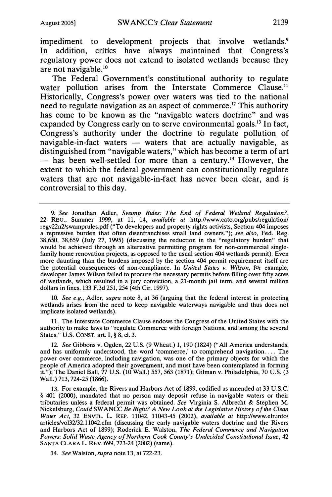impediment to development projects that involve wetlands.<sup>9</sup> In addition, critics have always maintained that Congress's regulatory power does not extend to isolated wetlands because they are not navigable.10

The Federal Government's constitutional authority to regulate water pollution arises from the Interstate Commerce Clause.<sup>11</sup> Historically, Congress's power over waters was tied to the national need to regulate navigation as an aspect of commerce.<sup>12</sup> This authority has come to be known as the "navigable waters doctrine" and was expanded by Congress early on to serve environmental goals.<sup>13</sup> In fact, Congress's authority under the doctrine to regulate pollution of navigable-in-fact waters  $-$  waters that are actually navigable, as distinguished from "navigable waters," which has become a term of art  $-$  has been well-settled for more than a century.<sup>14</sup> However, the extent to which the federal government can constitutionally regulate waters that are not navigable-in-fact has never been clear, and is controversial to this day.

10. See e.g., Adler, supra note 8, at 36 (arguing that the federal interest in protecting wetlands arises from the need to keep navigable waterways navigable and thus does not implicate isolated wetlands).

11. The Interstate Commerce Clause endows the Congress of the United States with the authority to make laws to "regulate Commerce with foreign Nations, and among the several States." U.S. CONST. art. I, § 8, cl. 3.

12. See Gibbons v. Ogden, 22 U.S. (9 Wheat.) 1, 190 (1824) ("All America understands, and has uniformly understood, the word 'commerce,' to comprehend navigation .... The power over commerce, including navigation, was one of the primary objects for which the people of America adopted their government, and must have been contemplated in forming it."); The Daniel Ball, 77 U.S. (10 Wall.) 557, 563 (1871); Gilman v. Philadelphia, 70 U.S. (3 Wall.) 713, 724-25 (1866).

13. For example, the Rivers and Harbors Act of 1899, codified as amended at 33 U.S.C. § 401 (2000), mandated that no person may deposit refuse in navigable waters or their tributaries unless a federal permit was obtained. See Virginia S. Albrecht & Stephen M. Nickelsburg, Could SWANCC Be Right? A New Look at the Legislative History of the Clean Water Act, 32 ENVfL. L. REP. 11042, 11043-45 (2002), available at http://www.elr.info/ articles/vol32/32.11042.cfrn (discussing the early navigable waters doctrine and the Rivers and Harbors Act of 1899); Roderick E. Walston, The Federal Commerce and Navigation Powers: Solid Waste Agency of Northern Cook County's Undecided Constitutional Issue, 42 SANTA CLARA L. REV. 699, 723-24 (2002) (same).

14. See Walston, supra note 13, at 722-23.

<sup>9.</sup> See Jonathan Adler, Swamp Rules: The End of Federal Wetland Regulation?, 22 REG., Summer 1999, at 11, 14, available at http://www.cato.org/pubs/regulation/ regv22n2/swamprules.pdf ("To developers and property rights activists, Section 404 imposes a repressive burden that often disenfranchises small land owners."); see also, Fed. Reg. 38,650, 38,659 (July 27, 1995) (discussing the reduction in the "regulatory burden" that would be achieved through an alternative permitting program for non-commercial singlefamily home renovation projects, as opposed to the usual section 404 wetlands permit). Even more daunting than the burdens imposed by the section 404 permit requirement itself are the potential consequences of non-compliance. In United States v. Wilson, for example, developer James Wilson failed to procure the necessary permits before filling over fifty acres of wetlands, which resulted in a jury conviction, a 21-month jail term, and several million dollars in fines. 133 F.3d 251, 254 (4th Cir. 1997).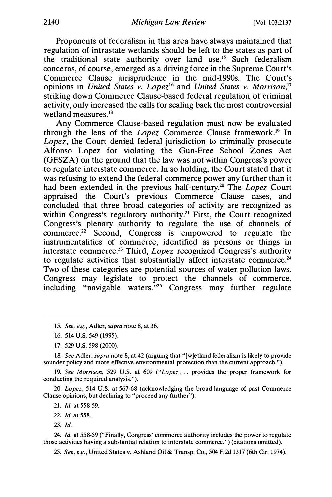Proponents of federalism in this area have always maintained that regulation of intrastate wetlands should be left to the states as part of the traditional state authority over land use.15 Such federalism concerns, of course, emerged as a driving force in the Supreme Court's Commerce Clause jurisprudence in the mid-1990s. The Court's opinions in United States v. Lopez<sup>16</sup> and United States v. Morrison,<sup>17</sup> striking down Commerce Clause-based federal regulation of criminal activity, only increased the calls for scaling back the most controversial wetland measures.<sup>18</sup>

Any Commerce Clause-based regulation must now be evaluated through the lens of the Lopez Commerce Clause framework.<sup>19</sup> In Lopez, the Court denied federal jurisdiction to criminally prosecute Alfonso Lopez for violating the Gun-Free School Zones Act (GFSZA) on the ground that the law was not within Congress's power to regulate interstate commerce. In so holding, the Court stated that it was refusing to extend the federal commerce power any further than it had been extended in the previous half-century.<sup>20</sup> The Lopez Court appraised the Court's previous Commerce Clause cases, and concluded that three broad categories of activity are recognized as within Congress's regulatory authority.<sup>21</sup> First, the Court recognized Congress's plenary authority to regulate the use of channels of commerce.<sup>22</sup> Second, Congress is empowered to regulate the instrumentalities of commerce, identified as persons or things in interstate commerce.<sup>23</sup> Third, *Lopez* recognized Congress's authority to regulate activities that substantially affect interstate commerce.<sup> $24$ </sup> Two of these categories are potential sources of water pollution laws. Congress may legislate to protect the channels of commerce, including "navigable waters."<sup>25</sup> Congress may further regulate

16. 514 U.S. 549 (1995).

18. See Adler, supra note 8, at 42 (arguing that "[w]etland federalism is likely to provide sounder policy and more effective environmental protection than the current approach.").

19. See Morrison, 529 U.S. at 609 ("Lopez ... provides the proper framework for conducting the required analysis.").

20. Lopez, 514 U.S. at 567-68 (acknowledging the broad language of past Commerce Clause opinions, but declining to "proceed any further").

21. Id. at 558-59.

- 22. Id. at 558.
- 23. Id.

24. Id. at 558-59 ("Finally, Congress' commerce authority includes the power to regulate those activities having a substantial relation to interstate commerce.") (citations omitted).

25. See, e.g., United States v. Ashland Oil & Transp. Co., 504 F.2d 1317 (6th Cir. 1974).

<sup>15.</sup> See, e.g., Adler, supra note 8, at 36.

<sup>17. 529</sup> U.S. 598 (2000).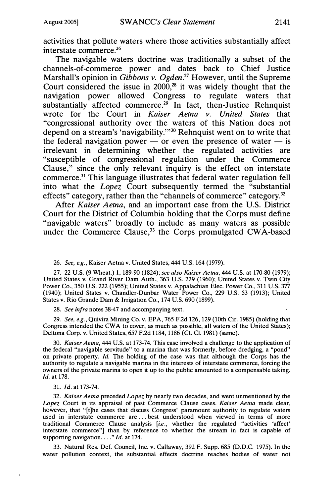activities that pollute waters where those activities substantially affect interstate commerce.26

The navigable waters doctrine was traditionally a subset of the channels-of-commerce power and dates back to Chief Justice Marshall's opinion in Gibbons v. Ogden.<sup>27</sup> However, until the Supreme Court considered the issue in  $2000$ ,<sup>28</sup> it was widely thought that the navigation power allowed Congress to regulate waters that substantially affected commerce.<sup>29</sup> In fact, then-Justice Rehnquist wrote for the Court in Kaiser Aetna v. United States that "congressional authority over the waters of this Nation does not depend on a stream's 'navigability."'30 Rehnquist went on to write that the federal navigation power  $-$  or even the presence of water  $-$  is irrelevant in determining whether the regulated activities are "susceptible of congressional regulation under the Commerce Clause," since the only relevant inquiry is the effect on interstate commerce.31 This language illustrates that federal water regulation fell into what the Lopez Court subsequently termed the "substantial effects" category, rather than the "channels of commerce" category.<sup>32</sup>

After Kaiser Aetna, and an important case from the U.S. District Court for the District of Columbia holding that the Corps must define "navigable waters" broadly to include as many waters as possible under the Commerce Clause, $33$  the Corps promulgated CWA-based

28. See infra notes 38-47 and accompanying text.

29. See, e.g., Quivira Mining Co. v. EPA, 765 F.2d 126, 129 (10th Cir. 1985) (holding that Congress intended the CW A to cover, as much as possible, all waters of the United States); Deltona Corp. v. United States, 657 F.2d 1184, 1186 (Ct. Cl. 1981) (same).

30. Kaiser Aetna, 444 U.S. at 173-74. This case involved a challenge to the application of the federal "navigable servitude" to a marina that was formerly, before dredging, a "pond" on private property. Id. The holding of the case was that although the Corps has the authority to regulate a navigable marina in the interests of interstate commerce, forcing the owners of the private marina to open it up to the public amounted to a compensable taking. Id. at 178.

31. Id. at 173-74.

32. Kaiser Aetna preceded Lopez by nearly two decades, and went unmentioned by the Lopez Court in its appraisal of past Commerce Clause cases. Kaiser Aetna made clear, however, that "[t]he cases that discuss Congress' paramount authority to regulate waters used in interstate commerce are ... best understood when viewed in terms of more traditional Commerce Clause analysis [i.e., whether the regulated "activities 'affect' interstate commerce"] than by reference to whether the stream in fact is capable of supporting navigation...."  $Id.$  at 174.

33. Natural Res. Def. Council, Inc. v. Callaway, 392 F. Supp. 685 (D.D.C. 1975). In the water pollution context, the substantial effects doctrine reaches bodies of water not

<sup>26.</sup> See, e.g., Kaiser Aetna v. United States, 444 U.S. 164 (1979).

<sup>27. 22</sup> U.S. (9 Wheat.) 1, 189-90 (1824); see also Kaiser Aetna, 444 U.S. at 170-80 (1979); United States v. Grand River Darn Auth., 363 U.S. 229 (1960); United States v. Twin City Power Co., 350 U.S. 222 (1955); United States v. Appalachian Elec. Power Co., 311U.S. 377 (1940); United States v. Chandler-Dunbar Water Power Co., 229 U.S. 53 (1913); United States v. Rio Grande Dam & Irrigation Co., 174 U.S. 690 (1899).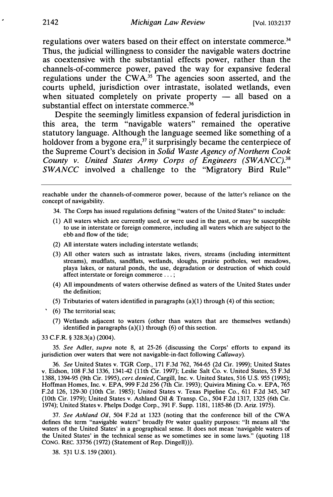regulations over waters based on their effect on interstate commerce.<sup>34</sup> Thus, the judicial willingness to consider the navigable waters doctrine as coextensive with the substantial effects power, rather than the channels-of-commerce power, paved the way for expansive federal regulations under the CWA.<sup>35</sup> The agencies soon asserted, and the courts upheld, jurisdiction over intrastate, isolated wetlands, even when situated completely on private property  $-$  all based on a substantial effect on interstate commerce.<sup>36</sup>

Despite the seemingly limitless expansion of federal jurisdiction in this area, the term "navigable waters" remained the operative statutory language. Although the language seemed like something of a holdover from a bygone era, $37$  it surprisingly became the centerpiece of the Supreme Court's decision in Solid Waste Agency of Northern Cook County v. United States Army Corps of Engineers (SWANCC).<sup>38</sup> SWANCC involved a challenge to the "Migratory Bird Rule"

reachable under the channels-of-commerce power, because of the latter's reliance on the concept of navigability.

- 34. The Corps has issued regulations defining "waters of the United States" to include:
- (1) All waters which are currently used, or were used in the past, or may be susceptible to use in interstate or foreign commerce, including all waters which are subject to the ebb and flow of the tide;
- (2) All interstate waters including interstate wetlands;
- (3) All other waters such as intrastate lakes, rivers, streams (including intermittent streams), mudflats, sandflats, wetlands, sloughs, prairie potholes, wet meadows, playa lakes, or natural ponds, the use, degradation or destruction of which could affect interstate or foreign commerce . . .;
- (4) All impoundments of waters otherwise defined as waters of the United States under the definition;
- (5) Tributaries of waters identified in paragraphs  $(a)(1)$  through  $(4)$  of this section;
- (6) The territorial seas;
- (7) Wetlands adjacent to waters (other than waters that are themselves wetlands) identified in paragraphs (a)(l) through (6) of this section.

33 C.F.R. § 328.3(a) (2004).

35. See Adler, supra note 8, at 25-26 (discussing the Corps' efforts to expand its jurisdiction over waters that were not navigable-in-fact following *Callaway*).

36. See United States v. TGR Corp., 171 F.3d 762, 764-65 (2d Cir. 1999); United States v. Eidson, 108 F.3d 1336, 1341-42 (11th Cir. 1997); Leslie Salt Co. v. United States, 55 F.3d 1388, 1394-95 (9th Cir. 1995), cert. denied, Cargill, Inc. v. United States, 516 U.S. 955 (1995); Hoffman Homes, Inc. v. EPA, 999 F.2d 256 (7th Cir. 1993); Quivira Mining Co. v. EPA, 765 F.2d 126, 129-30 (10th Cir. 1985); United States v. Texas Pipeline Co., 611 F.2d 345, 347 (10th Cir. 1979); United States v. Ashland Oil & Transp. Co., 504 F.2d 1317, 1325 (6th Cir. 1974); United States v. Phelps Dodge Corp., 391 F. Supp. 1181, 1185-86 (D. Ariz. 1975).

37. See Ashland Oil, 504 F.2d at 1323 (noting that the conference bill of the CWA defines the term "navigable waters" broadly for water quality purposes: "It means all 'the waters of the United States' in a geographical sense. It does not mean 'navigable waters of the United States' in the technical sense as we sometimes see in some laws." (quoting 118 CONG. REC. 33756 (1972) (Statement of Rep. Dingell))).

38. 531 U.S. 159 (2001).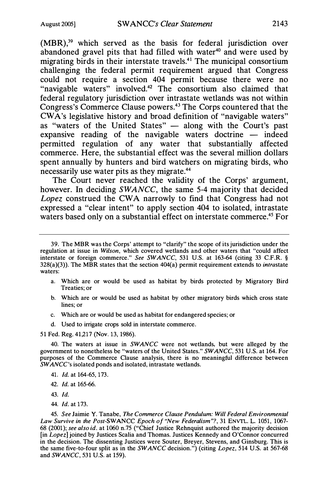$(MBR)$ ,<sup>39</sup> which served as the basis for federal jurisdiction over abandoned gravel pits that had filled with water<sup>40</sup> and were used by migrating birds in their interstate travels.<sup>41</sup> The municipal consortium challenging the federal permit requirement argued that Congress could not require a section 404 permit because there were no "navigable waters" involved.<sup>42</sup> The consortium also claimed that federal regulatory jurisdiction over intrastate wetlands was not within Congress's Commerce Clause powers.43 The Corps countered that the CW A's legislative history and broad definition of "navigable waters" as "waters of the United States" - along with the Court's past expansive reading of the navigable waters doctrine  $-$  indeed permitted regulation of any water that substantially affected commerce. Here, the substantial effect was the several million dollars spent annually by hunters and bird watchers on migrating birds, who necessarily use water pits as they migrate.44

The Court never reached the validity of the Corps' argument, however. In deciding SWANCC, the same 5-4 majority that decided Lopez construed the CWA narrowly to find that Congress had not expressed a "clear intent" to apply section 404 to isolated, intrastate waters based only on a substantial effect on interstate commerce.<sup>45</sup> For

- a. Which are or would be used as habitat by birds protected by Migratory Bird Treaties; or
- b. Which are or would be used as habitat by other migratory birds which cross state lines; or
- c. Which are or would be used as habitat for endangered species; or
- d. Used to irrigate crops sold in interstate commerce.

51 Fed. Reg. 41,217 (Nov. 13, 1986).

40. The waters at issue in SWANCC were not wetlands, but were alleged by the government to nonetheless be "waters of the United States." SWANCC, 531 U.S. at 164. For purposes of the Commerce Clause analysis, there is no meaningful difference between SWANCC's isolated ponds and isolated, intrastate wetlands.

- 41. Id. at 164-65, 173.
- 42. Id. at 165-66.
- 43. Id.
- 44. Id. at 173.

45. See Jaimie Y. Tanabe, The Commerce Clause Pendulum: Will Federal Environmental Law Survive in the Post-SWANCC Epoch of "New Federalism"?, 31 ENVTL. L. 1051, 1067-68 (2001); see also id. at 1060 n.75 ("Chief Justice Rehnquist authored the majority decision [in Lopez] joined by Justices Scalia and Thomas. Justices Kennedy and O'Connor concurred in the decision. The dissenting Justices were Souter, Breyer, Stevens, and Ginsburg. This is the same five-to-four split as in the SWANCC decision.") (citing Lopez, 514 U.S. at 567-68 and SWANCC, 531 U.S. at 159).

<sup>39.</sup> The MBR was the Corps' attempt to "clarify" the scope of its jurisdiction under the regulation at issue in Wilson, which covered wetlands and other waters that "could affect interstate or foreign commerce." See SWANCC, 531 U.S. at 163-64 (citing 33 C.F.R. §  $328(a)(3)$ ). The MBR states that the section  $404(a)$  permit requirement extends to *intrastate* waters: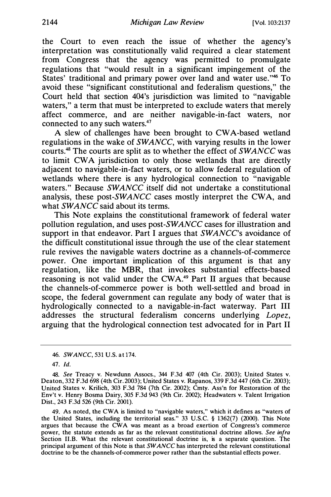the Court to even reach the issue of whether the agency's interpretation was constitutionally valid required a clear statement from Congress that the agency was permitted to promulgate regulations that "would result in a significant impingement of the States' traditional and primary power over land and water use."46 To avoid these "significant constitutional and federalism questions," the Court held that section 404's jurisdiction was limited to "navigable waters," a term that must be interpreted to exclude waters that merely affect commerce, and are neither navigable-in-fact waters, nor connected to any such waters.47

A slew of challenges have been brought to CW A-based wetland regulations in the wake of SWANCC, with varying results in the lower courts.48 The courts are split as to whether the effect of SWANCC was to limit CWA jurisdiction to only those wetlands that are directly adjacent to navigable-in-fact waters, or to allow federal regulation of wetlands where there is any hydrological connection to "navigable" waters." Because SWANCC itself did not undertake a constitutional analysis, these post-SWANCC cases mostly interpret the CWA, and what SWANCC said about its terms.

This Note explains the constitutional framework of federal water pollution regulation, and uses post-SWANCC cases for illustration and support in that endeavor. Part I argues that  $SWANCE$ 's avoidance of the difficult constitutional issue through the use of the clear statement rule revives the navigable waters doctrine as a channels-of-commerce power. One important implication of this argument is that any regulation, like the MBR, that invokes substantial effects-based reasoning is not valid under the CWA.<sup>49</sup> Part II argues that because the channels-of-commerce power is both well-settled and broad in scope, the federal government can regulate any body of water that is hydrologically connected to a navigable-in-fact waterway. Part III addresses the structural federalism concerns underlying Lopez, arguing that the hydrological connection test advocated for in Part II

49. As noted, the CWA is limited to "navigable waters," which it defines as "waters of the United States, including the territorial seas." 33 U.S.C. § 1362(7) (2000). This Note argues that because the CWA was meant as a broad exertion of Congress's commerce power, the statute extends as far as the relevant constitutional doctrine allows. See infra Section 11.B. What the relevant constitutional doctrine is, is a separate question. The principal argument of this Note is that SWANCC has interpreted the relevant constitutional doctrine to be the channels-of-commerce power rather than the substantial effects power.

<sup>46.</sup> SWANCC, 531 U.S. at 174.

<sup>47.</sup> Id.

<sup>48.</sup> See Treacy v. Newdunn Assocs., 344 F.3d 407 (4th Cir. 2003); United States v. Deaton, 332 F.3d 698 (4th Cir. 2003); United States v. Rapanos, 339 F.3d 447 (6th Cir. 2003); United States v. Krilich, 303 F.3d 784 (7th Cir. 2002); Cmty. Ass'n for Restoration of the Env't v. Henry Bosma Dairy, 305 F.3d 943 (9th Cir. 2002); Headwaters v. Talent Irrigation Dist., 243 F.3d 526 (9th Cir. 2001).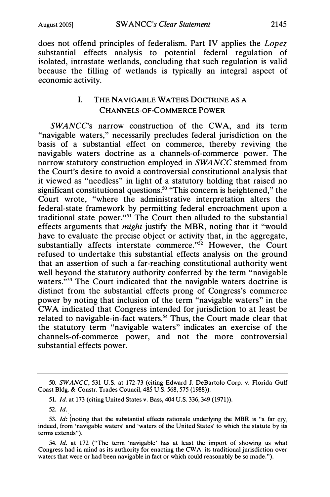does not offend principles of federalism. Part IV applies the Lopez substantial effects analysis to potential federal regulation of isolated, intrastate wetlands, concluding that such regulation is valid because the filling of wetlands is typically an integral aspect of economic activity.

# I. THE NAVIGABLE WATERS DOCTRINE AS A CHANNELS-OF-COMMERCE POWER

SWANCC's narrow construction of the CWA, and its term "navigable waters," necessarily precludes federal jurisdiction on the basis of a substantial effect on commerce, thereby reviving the navigable waters doctrine as a channels-of-commerce power. The narrow statutory construction employed in SWANCC stemmed from the Court's desire to avoid a controversial constitutional analysis that it viewed as "needless" in light of a statutory holding that raised no significant constitutional questions.<sup>50</sup> "This concern is heightened," the Court wrote, "where the administrative interpretation alters the federal-state framework by permitting federal encroachment upon a traditional state power. "51 The Court then alluded to the substantial effects arguments that *might* justify the MBR, noting that it "would have to evaluate the precise object or activity that, in the aggregate, substantially affects interstate commerce."<sup>52</sup> However, the Court refused to undertake this substantial effects analysis on the ground that an assertion of such a far-reaching constitutional authority went well beyond the statutory authority conferred by the term "navigable" waters.<sup>"53</sup> The Court indicated that the navigable waters doctrine is distinct from the substantial effects prong of Congress's commerce power by noting that inclusion of the term "navigable waters" in the CWA indicated that Congress intended for jurisdiction to at least be related to navigable-in-fact waters.<sup>54</sup> Thus, the Court made clear that the statutory term "navigable waters" indicates an exercise of the channels-of-commerce power, and not the more controversial substantial effects power.

<sup>50.</sup> SWANCC, 531 U.S. at 172-73 (citing Edward J. DeBartolo Corp. v. Florida Gulf Coast Bldg. & Constr. Trades Council, 485 U.S. 568, 575 (1988)).

<sup>51.</sup> Id. at 173 (citing United States v. Bass, 404 U.S. 336, 349 (1971)).

<sup>52.</sup> Id.

<sup>53.</sup> Id: (noting that the substantial effects rationale underlying the MBR is "a far cry, indeed, from 'navigable waters' and 'waters of the United States' to which the statute by its terms extends").

<sup>54.</sup> Id. at 172 ("The term 'navigable' has at least the import of showing us what Congress had in mind as its authority for enacting the CWA: its traditional jurisdiction over waters that were or had been navigable in fact or which could reasonably be so made.").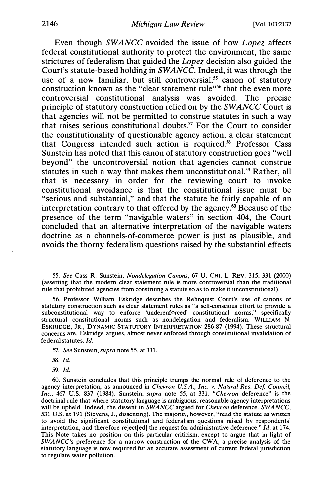Even though SWANCC avoided the issue of how Lopez affects federal constitutional authority to protect the environment, the same strictures of federalism that guided the Lopez decision also guided the Court's statute-based holding in SWANCC. Indeed, it was through the use of a now familiar, but still controversial,<sup>55</sup> canon of statutory construction known as the "clear statement rule"<sup>56</sup> that the even more controversial constitutional analysis was avoided. The precise principle of statutory construction relied on by the SWANCC Court is that agencies will not be permitted to construe statutes in such a way that raises serious constitutional doubts.57 For the Court to consider the constitutionality of questionable agency action, a clear statement that Congress intended such action is required.58 Professor Cass Sunstein has noted that this canon of statutory construction goes "well beyond" the uncontroversial notion that agencies cannot construe statutes in such a way that makes them unconstitutional.<sup>59</sup> Rather, all that is necessary in order for the reviewing court to invoke constitutional avoidance is that the constitutional issue must be "serious and substantial," and that the statute be fairly capable of an interpretation contrary to that offered by the agency. $\omega$  Because of the presence of the term "navigable waters" in section 404, the Court concluded that an alternative interpretation of the navigable waters doctrine as a channels-of-commerce power is just as plausible, and avoids the thorny federalism questions raised by the substantial effects

- 58. Id.
- 59. Id.

<sup>55.</sup> See Cass R. Sunstein, Nondelegation Canons, 67 U. CHI. L. REV. 315, 331 (2000) (asserting that the modern clear statement rule is more controversial than the traditional rule that prohibited agencies from construing a statute so as to make it unconstitutional).

<sup>56.</sup> Professor William Eskridge describes the Rehnquist Court's use of canons of statutory construction such as clear statement rules as "a self-conscious effort to provide a subconstitutional way to enforce 'underenforced' constitutional norms," specifically structural constitutional norms such as nondelegation and federalism. WILLIAM N. ESKRIDGE, JR., DYNAMIC STATUTORY INTERPRETATION 286-87 (1994). These structural concerns are, Eskridge argues, almost never enforced through constitutional invalidation of federal statutes. Id.

<sup>57.</sup> See Sunstein, supra note 55, at 331.

<sup>60.</sup> Sunstein concludes that this principle trumps the normal rule of deference to the agency interpretation, as announced in Chevron U.S.A., Inc. v. Natural Res. Def. Council, Inc., 467 U.S. 837 (1984). Sunstein, supra note 55, at 331. "Chevron deference" is the doctrinal rule that where statutory language is ambiguous, reasonable agency interpretations will be upheld. Indeed, the dissent in  $SWANCE$  argued for Chevron deference. SWANCC, 531 U.S. at 191 (Stevens, J., dissenting). The majority, however, "read the statute as written to avoid the significant constitutional and federalism questions raised by respondents' interpretation, and therefore reject [ed] the request for administrative deference."  $\mathbf{I}d$ . at 174. This Note takes no position on this particular criticism, except to argue that in light of SWANCC's preference for a narrow construction of the CW A, a precise analysis of the statutory language is now required for an accurate assessment of current federal jurisdiction to regulate water pollution.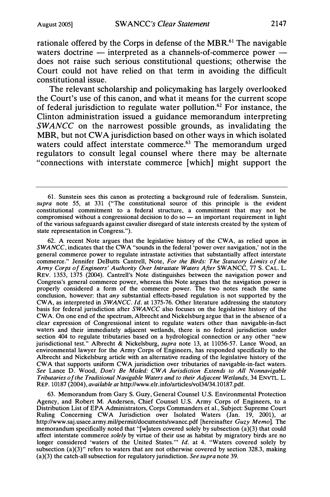rationale offered by the Corps in defense of the MBR.<sup>61</sup> The navigable waters doctrine  $-$  interpreted as a channels-of-commerce power  $$ does not raise such serious constitutional questions; otherwise the Court could not have relied on that term in avoiding the difficult constitutional issue.

The relevant scholarship and policymaking has largely overlooked the Court's use of this canon, and what it means for the current scope of federal jurisdiction to regulate water pollution.62 For instance, the Clinton administration issued a guidance memorandum interpreting SWANCC on the narrowest possible grounds, as invalidating the MBR, but not CWA jurisdiction based on other ways in which isolated waters could affect interstate commerce.<sup>63</sup> The memorandum urged regulators to consult legal counsel where there may be alternate "connections with interstate commerce [which] might support the

62. A recent Note argues that the legislative history of the CW A, as relied upon in SWANCC, indicates that the CWA "sounds in the federal 'power over navigation,' not in the general commerce power to regulate intrastate activities that substantially affect interstate commerce." Jennifer DeButts Cantrell, Note, For the Birds: The Statutory Limits of the Army Corps of Engineers' Authority Over Intrastate Waters After SWANCC, 77 S. CAL. L. REV. 1353, 1375 (2004). Cantrell's Note distinguishes between the navigation power and Congress's general commerce power, whereas this Note argues that the navigation power is properly considered a form of the commerce power. The two notes reach the same conclusion, however: that any substantial effects-based regulation is not supported by the CWA, as interpreted in SWANCC. Id. at 1375-76. Other literature addressing the statutory basis for federal jurisdiction after SWANCC also focuses on the legislative history of the CW A On one end of the spectrum, Albrecht and Nickelsburg argue that in the absence of a clear expression of Congressional intent to regulate waters other than navigable-in-fact waters and their immediately adjacent wetlands, there is no federal jurisdiction under section 404 to regulate tributaries based on a hydrological connection or any other "new jurisdictional test." Albrecht & Nickelsburg, supra note 13, at 11056-57. Lance Wood, an environmental lawyer for the Army Corps of Engineers, has responded specifically to the Albrecht and Nickelsburg article with an alternative reading of the legislative history of the CWA that supports uniform CWA jurisdiction over tributaries of navigable-in-fact waters. See Lance D. Wood, Don't Be Misled: CWA Jurisdiction Extends to All Nonnavigable Tributaries of the Traditional Navigable Waters and to their Adjacent Wetlands, 34 ENVTL. L. REP. 10187 (2004), available at http://www.elr.info/articles/vol34/34.10187.pdf.

63. Memorandum from Gary S. Guzy, General Counsel U.S. Environmental Protection Agency, and Robert M. Andersen, Chief Counsel U.S. Army Corps of Engineers, to a Distribution List of EPA Administrators, Corps Commanders et al., Subject: Supreme Court Ruling Concerning CWA Jurisdiction over Isolated Waters (Jan. 19, 2001), at http://www.saj.usace.army.mil/permit/documents/swancc.pdf [hereinafter Guzy Memo]. The memorandum specifically noted that "[w]aters covered solely by subsection (a)(3) that could affect interstate commerce solely by virtue of their use as habitat by migratory birds are no longer considered 'waters of the United States."" Id. at 4. "Waters covered solely by subsection  $(a)(3)$ " refers to waters that are not otherwise covered by section 328.3, making (a)(3) the catch-all subsection for regulatory jurisdiction. See supra note 39.

<sup>61.</sup> Sunstein sees this canon as protecting a background rule of federalism. Sunstein, supra note 55, at 331 ("The constitutional source of this principle is the evident constitutional commitment to a federal structure, a commitment that may not be compromised without a congressional decision to do so  $-$  an important requirement in light of the various safeguards against cavalier disregard of state interests created by the system of state representation in Congress.").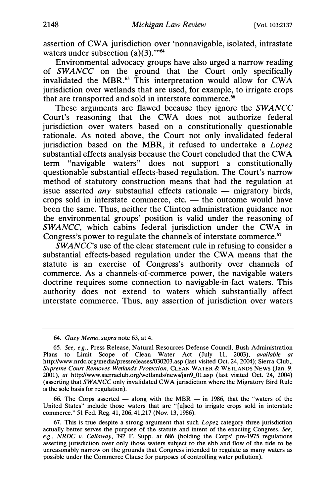assertion of CWA jurisdiction over 'nonnavigable, isolated, intrastate waters under subsection  $(a)(3)$ ."<sup>64</sup>

Environmental advocacy groups have also urged a narrow reading of SWANCC on the ground that the Court only specifically invalidated the MBR.<sup>65</sup> This interpretation would allow for CWA jurisdiction over wetlands that are used, for example, to irrigate crops that are transported and sold in interstate commerce.<sup>66</sup>

These arguments are flawed because they ignore the SWANCC Court's reasoning that the CWA does not authorize federal jurisdiction over waters based on a constitutionally questionable rationale. As noted above, the Court not only invalidated federal jurisdiction based on the MBR, it refused to undertake a *Lopez* substantial effects analysis because the Court concluded that the CWA term "navigable waters" does not support a constitutionally questionable substantial effects-based regulation. The Court's narrow method of statutory construction means that had the regulation at issue asserted *any* substantial effects rationale  $-$  migratory birds, crops sold in interstate commerce, etc.  $-$  the outcome would have been the same. Thus, neither the Clinton administration guidance nor the environmental groups' position is valid under the reasoning of  $SWANCE$ , which cabins federal jurisdiction under the CWA in Congress's power to regulate the channels of interstate commerce.<sup>67</sup>

SWANCC's use of the clear statement rule in refusing to consider a substantial effects-based regulation under the CWA means that the statute is an exercise of Congress's authority over channels of commerce. As a channels-of-commerce power, the navigable waters doctrine requires some connection to navigable-in-fact waters. This authority does not extend to waters which substantially affect interstate commerce. Thus, any assertion of jurisdiction over waters

64. Guzy Memo, supra note 63, at 4.

66. The Corps asserted  $-$  along with the MBR  $-$  in 1986, that the "waters of the United States" include those waters that are "[u]sed to irrigate crops sold in interstate commerce." 51 Fed. Reg. 41, 206, 41,217 (Nov. 13, 1986).

67. This is true despite a strong argument that such Lopez category three jurisdiction actually better serves the purpose of the statute and intent of the enacting Congress. See, e.g., NRDC v. Callaway,  $392$  F. Supp. at 686 (holding the Corps' pre-1975 regulations asserting jurisdiction over only those waters subject to the ebb and flow of the tide to be unreasonably narrow on the grounds that Congress intended to regulate as many waters as possible under the Commerce Clause for purposes of controlling water pollution).

<sup>65.</sup> See, e.g. , Press Release, Natural Resources Defense Council, Bush Administration Plans to Limit Scope of Clean Water Act (July 11, 2003), available at http://www.nrdc.org/media/pressreleases/030203.asp (last visited Oct. 24, 2004); Sierra Club,, Supreme Court Removes Wetlands Protection, CLEAN WATER & WETLANDS NEWS (Jan. 9, 2001), at http://www.sierraclub.org/wetlands/news/jan9\_01.asp (last visited Oct. 24, 2004) (asserting that SWANCC only invalidated CW A jurisdiction where the Migratory Bird Rule is the sole basis for regulation).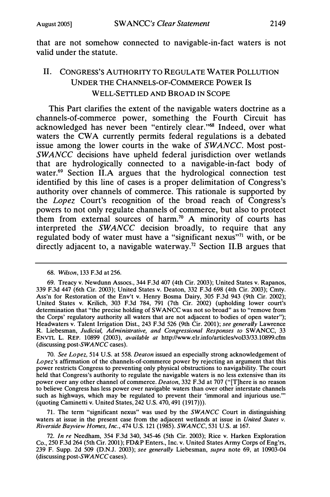that are not somehow connected to navigable-in-fact waters is not valid under the statute.

# II. CONGRESS'S AUTHORITY TO REGULATE WATER POLLUTION UNDER THE CHANNELS-OF-COMMERCE POWER IS WELL-SETTLED AND BROAD IN SCOPE

This Part clarifies the extent of the navigable waters doctrine as a channels-of-commerce power, something the Fourth Circuit has acknowledged has never been "entirely clear."68 Indeed, over what waters the CWA currently permits federal regulations is a debated issue among the lower courts in the wake of SWANCC. Most post-SWANCC decisions have upheld federal jurisdiction over wetlands that are hydrologically connected to a navigable-in-fact body of water.<sup>69</sup> Section II.A argues that the hydrological connection test identified by this line of cases is a proper delimitation of Congress's authority over channels of commerce. This rationale is supported by the Lopez Court's recognition of the broad reach of Congress's powers to not only regulate channels of commerce, but also to protect them from external sources of harm.<sup>70</sup> A minority of courts has interpreted the SWANCC decision broadly, to require that any regulated body of water must have a "significant nexus"<sup>71</sup> with, or be directly adjacent to, a navigable waterway.<sup>72</sup> Section II.B argues that

70. See Lopez, 514 U.S. at 558. Deaton issued an especially strong acknowledgement of Lopez's affirmation of the channels-of-commerce power by rejecting an argument that this power restricts Congress to preventing only physical obstructions to navigability. The court held that Congress's authority to regulate the navigable waters is no less extensive than its power over any other channel of commerce. Deaton, 332 F.3d at 707 ("[T]here is no reason to believe Congress has less power over navigable waters than over other interstate channels such as highways, which may be regulated to prevent their 'immoral and injurious use."' (quoting Carninetti v. United States, 242 U.S. 470, 491 (1917))).

71. The term "significant nexus" was used by the SWANCC Court in distinguishing waters at issue in the present case from the adjacent wetlands at issue in United States  $v$ . Riverside Bayview Homes, Inc., 474 U.S. 121 (1985). SWANCC, 531 U.S. at 167.

72. In re Needham, 354 F.3d 340, 345-46 (5th Cir. 2003); Rice v. Harken Exploration Co., 250 F.3d 264 (5th Cir. 2001); FD&P Enters., Inc. v. United States Army Corps of Eng'rs, 239 F. Supp. 2d 509 (D.N.J. 2003); see generally Liebesman, supra note 69, at 10903-04 (discussing post-SWANCC cases).

<sup>68.</sup> Wilson, 133 F.3d at 256.

<sup>69.</sup> Treacy v. Newdunn Assocs., 344 F.3d 407 (4th Cir. 2003); United States v. Rapanos, 339 F.3d 447 (6th Cir. 2003); United States v. Deaton, 332 F.3d 698 (4th Cir. 2003); Cmty. Ass'n for Restoration of the Env't v. Henry Bosma Dairy, 305 F.3d 943 (9th Cir. 2002); United States v. Krilich, 303 F.3d 784, 791 (7th Cir. 2002) (upholding lower court's determination that "the precise holding of SWANCC was not so broad" as to "remove from the Corps' regulatory authority all waters that are not adjacent to bodies of open water"); Headwaters v. Talent Irrigation Dist., 243 F.3d 526 (9th Cir. 2001); see generally Lawrence R. Liebesman, Judicial, Administrative, and Congressional Responses to SWANCC, 33 ENVTL L. REP. 10899 (2003), available at http://www.elr.info/articles/vol33/33.10899.cfrn (discussing post-SWANCC cases).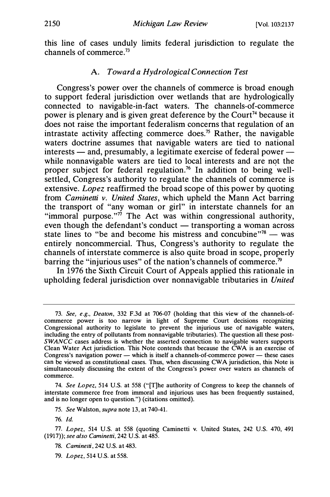this line of cases unduly limits federal jurisdiction to regulate the channels of commerce.73

### A. Toward a Hydrological Connection Test

Congress's power over the channels of commerce is broad enough to support federal jurisdiction over wetlands that are hydrologically connected to navigable-in-fact waters. The channels-of-commerce power is plenary and is given great deference by the Court<sup>74</sup> because it does not raise the important federalism concerns that regulation of an intrastate activity affecting commerce does.75 Rather, the navigable waters doctrine assumes that navigable waters are tied to national  $interests$  — and, presumably, a legitimate exercise of federal power while nonnavigable waters are tied to local interests and are not the proper subject for federal regulation.<sup>76</sup> In addition to being wellsettled, Congress's authority to regulate the channels of commerce is extensive. Lopez reaffirmed the broad scope of this power by quoting from Caminetti v. United States, which upheld the Mann Act barring the transport of "any woman or girl" in interstate channels for an "immoral purpose."<sup> $\vec{r}$ </sup> The Act was within congressional authority, even though the defendant's conduct — transporting a woman across state lines to "be and become his mistress and concubine" $78 -$  was entirely noncommercial. Thus, Congress's authority to regulate the channels of interstate commerce is also quite broad in scope, properly barring the "injurious uses" of the nation's channels of commerce.<sup>79</sup>

In 1976 the Sixth Circuit Court of Appeals applied this rationale in upholding federal jurisdiction over nonnavigable tributaries in United

<sup>73.</sup> See, e.g., Deaton, 332 F.3d at 706-07 (holding that this view of the channels-ofcommerce power is too narrow in light of Supreme Court decisions recognizing Congressional authority to legislate to prevent the injurious use of navigable waters, including the entry of pollutants from nonnavigable tributaries). The question all these post- $SWANCC$  cases address is whether the asserted connection to navigable waters supports Clean Water Act jurisdiction. This Note contends that because the CWA is an exercise of Congress's navigation power — which is itself a channels-of-commerce power — these cases can be viewed as constitutional cases. Thus, when discussing CW A jurisdiction, this Note is simultaneously discussing the extent of the Congress's power over waters as channels of commerce.

<sup>74.</sup> See Lopez, 514 U.S. at 558 ("[T]he authority of Congress to keep the channels of interstate commerce free from immoral and injurious uses has been frequently sustained, and is no longer open to question.") (citations omitted).

<sup>75.</sup> See Walston, supra note 13, at 740-41.

<sup>76.</sup> Id.

<sup>77.</sup> Lopez, 514 U.S. at 558 (quoting Caminetti v. United States, 242 U.S. 470, 491 (1917)); see also Caminetti, 242 U.S. at 485.

<sup>78.</sup> Caminetti, 242 U.S. at 483.

<sup>79.</sup> Lopez, 514 U.S. at 558.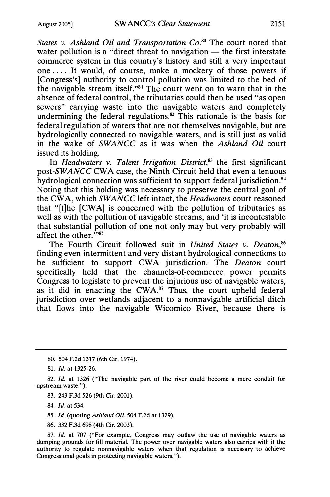States v. Ashland Oil and Transportation  $Co^{80}$  The court noted that water pollution is a "direct threat to navigation  $-$  the first interstate commerce system in this country's history and still a very important one . . . . It would, of course, make a mockery of those powers if [Congress's] authority to control pollution was limited to the bed of the navigable stream itself. "81 The court went on to warn that in the absence of federal control, the tributaries could then be used "as open sewers" carrying waste into the navigable waters and completely undermining the federal regulations.<sup>82</sup> This rationale is the basis for federal regulation of waters that are not themselves navigable, but are hydrologically connected to navigable waters, and is still just as valid in the wake of SWANCC as it was when the Ashland Oil court issued its holding.

In Headwaters v. Talent Irrigation District, $83$  the first significant post-SWANCC CWA case, the Ninth Circuit held that even a tenuous hydrological connection was sufficient to support federal jurisdiction.<sup>84</sup> Noting that this holding was necessary to preserve the central goal of the CWA, which SWANCC left intact, the Headwaters court reasoned that " [t]he [CWA] is concerned with the pollution of tributaries as well as with the pollution of navigable streams, and 'it is incontestable that substantial pollution of one not only may but very probably will affect the other."<sup>35</sup>

The Fourth Circuit followed suit in United States v. Deaton,<sup>86</sup> finding even intermittent and very distant hydrological connections to be sufficient to support CWA jurisdiction. The Deaton court specifically held that the channels-of-commerce power permits Congress to legislate to prevent the injurious use of navigable waters, as it did in enacting the CWA.<sup>87</sup> Thus, the court upheld federal jurisdiction over wetlands adjacent to a nonnavigable artificial ditch that flows into the navigable Wicomico River, because there is

80. 504 F.2d 1317 (6th Cir. 1974).

81. Id. at 1325-26.

82. Id. at 1326 ("The navigable part of the river could become a mere conduit for upstream waste.").

83. 243 F.3d 526 (9th Cir. 2001).

84. Id. at 534.

85. Id. (quoting Ashland Oil, 504 F.2d at 1329).

86. 332 F.3d 698 (4th Cir. 2003).

87. Id. at 707 ("For example, Congress may outlaw the use of navigable waters as dumping grounds for fill material. The power over navigable waters also carries with it the authority to regulate nonnavigable waters when that regulation is necessary to achieve Congressional goals in protecting navigable waters.").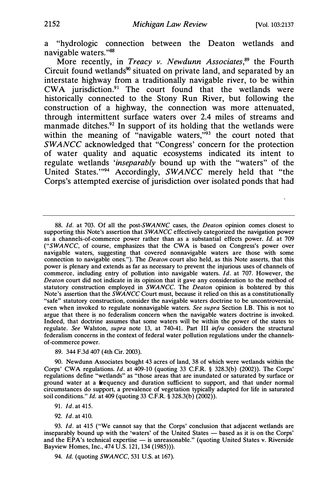a "hydrologic connection between the Deaton wetlands and navigable waters."88

More recently, in *Treacy v. Newdunn Associates*, $89$  the Fourth Circuit found wetlands<sup>90</sup> situated on private land, and separated by an interstate highway from a traditionally navigable river, to be within CWA jurisdiction.<sup>91</sup> The court found that the wetlands were historically connected to the Stony Run River, but following the construction of a highway, the connection was more attenuated, through intermittent surface waters over 2.4 miles of streams and manmade ditches.<sup>92</sup> In support of its holding that the wetlands were within the meaning of "navigable waters,"<sup>93</sup> the court noted that SWANCC acknowledged that "Congress' concern for the protection of water quality and aquatic ecosystems indicated its intent to regulate wetlands 'inseparably bound up with the "waters" of the United States."<sup>94</sup> Accordingly, SWANCC merely held that "the Corps's attempted exercise of jurisdiction over isolated ponds that had

89. 344 F.3d 407 (4th Cir. 2003).

90. Newdunn Associates bought 43 acres of land, 38 of which were wetlands within the Corps' CWA regulations. Id. at 409-10 (quoting 33 C.F.R. § 328.3(b) (2002)). The Corps' regulations define "wetlands" as "those areas that are inundated or saturated by surface or ground water at a frequency and duration sufficient to support, and that under normal circumstances do support, a prevalence of vegetation typically adapted for life in saturated soil conditions." Id. at 409 (quoting 33 C.F.R. § 328.3(b) (2002)).

- 91. Id. at 415.
- 92. Id. at 410.

93. Id. at 415 ("We cannot say that the Corps' conclusion that adjacent wetlands are inseparably bound up with the 'waters' of the United States  $-$  based as it is on the Corps' and the EPA's technical expertise - is unreasonable." (quoting United States v. Riverside Bayview Homes, Inc., 474 U.S. 121, 134 (1985))).

94. *Id.* (quoting *SWANCC*, 531 U.S. at 167).

<sup>88.</sup> Id. at 703. Of all the post-SWANNC cases, the Deaton opinion comes closest to supporting this Note's assertion that SWANCC effectively categorized the navigation power as a channels-of-commerce power rather than as a substantial effects power. Id. at 709 ("SWANCC, of course, emphasizes that the CWA is based on Congress's power over navigable waters, suggesting that covered nonnavigable waters are those with some connection to navigable ones."). The *Deaton* court also held, as this Note asserts, that this power is plenary and extends as far as necessary to prevent the injurious uses of channels of commerce, including entry of pollution into navigable waters. Id. at 707. However, the Deaton court did not indicate in its opinion that it gave any consideration to the method of statutory construction employed in SWANCC. The Deaton opinion is bolstered by this Note's assertion that the  $\overline{SWANCC}$  Court must, because it relied on this as a constitutionally "safe" statutory construction, consider the navigable waters doctrine to be uncontroversial, even when invoked to regulate nonnavigable waters. See supra Section I.B. This is not to argue that there is no federalism concern when the navigable waters doctrine is invoked. Indeed, that doctrine assumes that some waters will be within the power of the states to regulate. See Walston, supra note 13, at 740-41. Part III infra considers the structural federalism concerns in the context of federal water pollution regulations under the channelsof-commerce power.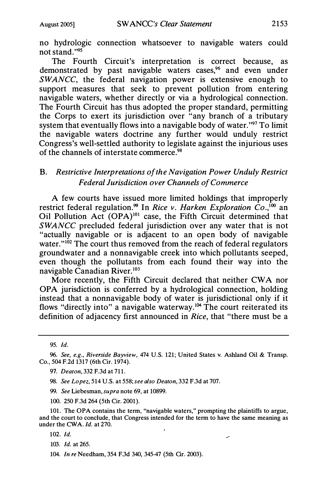no hydrologic connection whatsoever to navigable waters could not stand. "95

The Fourth Circuit's interpretation is correct because, as demonstrated by past navigable waters cases,<sup>96</sup> and even under SWANCC, the federal navigation power is extensive enough to support measures that seek to prevent pollution from entering navigable waters, whether directly or via a hydrological connection. The Fourth Circuit has thus adopted the proper standard, permitting the Corps to exert its jurisdiction over "any branch of a tributary system that eventually flows into a navigable body of water."<sup>97</sup> To limit the navigable waters doctrine any further would unduly restrict Congress's well-settled authority to legislate against the injurious uses of the channels of interstate commerce.<sup>98</sup>

# B. Restrictive Interpretations of the Navigation Power Unduly Restrict Federal Jurisdiction over Channels of Commerce

A few courts have issued more limited holdings that improperly restrict federal regulation.<sup>99</sup> In Rice v. Harken Exploration Co.,<sup>100</sup> an Oil Pollution Act (OPA)<sup>101</sup> case, the Fifth Circuit determined that SWANCC precluded federal jurisdiction over any water that is not "actually navigable or is adjacent to an open body of navigable water."<sup>102</sup> The court thus removed from the reach of federal regulators groundwater and a nonnavigable creek into which pollutants seeped, even though the pollutants from each found their way into the navigable Canadian River.103

More recently, the Fifth Circuit declared that neither CWA nor OPA jurisdiction is conferred by a hydrological connection, holding instead that a nonnavigable body of water is jurisdictional only if it flows "directly into" a navigable waterway.<sup>104</sup> The court reiterated its definition of adjacency first announced in Rice, that "there must be a

95. Id.

- 98. See Lopez, 514 U.S. at 558; see also Deaton, 332 F.3d at 707.
- 99. See Liebesman, supra note 69, at 10899.
- 100. 250 F.3d 264 (5th Cir. 2001).

101. The OPA contains the term, "navigable waters," prompting the plaintiffs to argue, and the court to conclude, that Congress intended for the term to have the same meaning as under the CWA. Id. at 270.

- 103. Id. at 265.
- 104. In re Needham, 354 F.3d 340, 345-47 (5th Cir. 2003).

<sup>96.</sup> See, e.g., Riverside Bayview, 474 U.S. 121; United States v. Ashland Oil & Transp. Co., 504 F.2d 1317 (6th Cir. 1974).

<sup>97.</sup> Deaton, 332 F.3d at 711.

<sup>102.</sup> Id.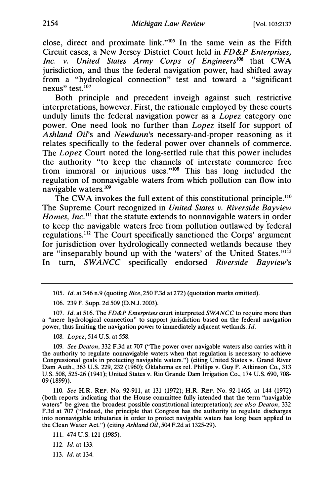close, direct and proximate link."105 In the same vein as the Fifth Circuit cases, a New Jersey District Court held in FD&P Enterprises, Inc. v. United States Army Corps of Engineers<sup>106</sup> that  $\hat{C}WA$ jurisdiction, and thus the federal navigation power, had shifted away from a "hydrological connection" test and toward a "significant nexus" test. $107$ 

Both principle and precedent inveigh against such restrictive interpretations, however. First, the rationale employed by these courts unduly limits the federal navigation power as a *Lopez* category one power. One need look no further than Lopez itself for support of Ashland Oil's and Newdunn's necessary-and-proper reasoning as it relates specifically to the federal power over channels of commerce. The *Lopez* Court noted the long-settled rule that this power includes the authority "to keep the channels of interstate commerce free from immoral or injurious uses."<sup>108</sup> This has long included the regulation of nonnavigable waters from which pollution can flow into navigable waters.109

The CWA invokes the full extent of this constitutional principle.<sup>110</sup> The Supreme Court recognized in United States v. Riverside Bayview Homes, Inc.<sup>111</sup> that the statute extends to nonnavigable waters in order to keep the navigable waters free from pollution outlawed by federal regulations.112 The Court specifically sanctioned the Corps' argument for jurisdiction over hydrologically connected wetlands because they are "inseparably bound up with the 'waters' of the United States."113 In turn, SWANCC specifically endorsed Riverside Bayview's

106. 239 F. Supp. 2d 509 (D.N.J. 2003).

107. Id. at 516. The FD&P Enterprises court interpreted SWANCC to require more than a "mere hydrological connection" to support jurisdiction based on the federal navigation power, thus limiting the navigation power to immediately adjacent wetlands. Id.

108. Lopez, 514 U.S. at 558.

109. See Deaton, 332 F.3d at 707 ("The power over navigable waters also carries with it the authority to regulate nonnavigable waters when that regulation is necessary to achieve Congressional goals in protecting navigable waters.") (citing United States v. Grand River Dam Auth., 363 U.S. 229, 232 (1960); Oklahoma ex rel. Phillips v. Guy F. Atkinson Co., 313 U.S. 508, 525-26 (1941); United States v. Rio Grande Dam Irrigation Co., 174 U.S. 690, 708- 09 (1899)).

110. See H.R. REP. No. 92-911, at 131 (1972); H.R. REP. No. 92-1465, at 144 (1972) (both reports indicating that the House committee fully intended that the term "navigable waters" be given the broadest possible constitutional interpretation); see also Deaton, 332 F.3d at 707 ("Indeed, the principle that Congress has the authority to regulate discharges into nonnavigable tributaries in order to protect navigable waters has long been applied to the Clean Water Act.") (citing Ashland Oil, 504 F.2d at 1325-29).

112. Id. at 133.

113. Id. at 134.

<sup>105.</sup> Id. at 346 n.9 (quoting Rice, 250 F.3d at 272) (quotation marks omitted).

<sup>111. 474</sup> U.S. 121 (1985).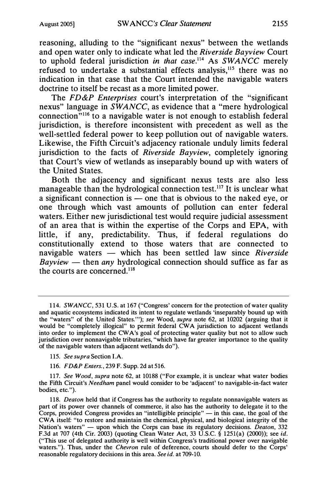reasoning, alluding to the "significant nexus" between the wetlands and open water only to indicate what led the Riverside Bayview Court to uphold federal jurisdiction in that case.<sup>114</sup> As SWANCC merely refused to undertake a substantial effects analysis,<sup>115</sup> there was no indication in that case that the Court intended the navigable waters doctrine to itself be recast as a more limited power.

The FD&P Enterprises court's interpretation of the "significant" nexus" language in  $\overline{SWANCE}$ , as evidence that a "mere hydrological connection"116 to a navigable water is not enough to establish federal jurisdiction, is therefore inconsistent with precedent as well as the well-settled federal power to keep pollution out of navigable waters. Likewise, the Fifth Circuit's adjacency rationale unduly limits federal jurisdiction to the facts of Riverside Bayview, completely ignoring that Court's view of wetlands as inseparably bound up with waters of the United States.

Both the adjacency and significant nexus tests are also less manageable than the hydrological connection test.<sup>117</sup> It is unclear what a significant connection is  $\overline{\phantom{a}}$  one that is obvious to the naked eye, or one through which vast amounts of pollution can enter federal waters. Either new jurisdictional test would require judicial assessment of an area that is within the expertise of the Corps and EPA, with little, if any, predictability. Thus, if federal regulations do constitutionally extend to those waters that are connected to navigable waters — which has been settled law since Riverside  $Bayview$  — then any hydrological connection should suffice as far as the courts are concerned.118

116. FD&P Enters., 239 F. Supp. 2d at 516.

117. See Wood, supra note 62, at 10188 ("For example, it is unclear what water bodies the Fifth Circuit's Needham panel would consider to be 'adjacent' to navigable-in-fact water bodies, etc.").

118. Deaton held that if Congress has the authority to regulate nonnavigable waters as part of its power over channels of commerce, it also has the authority to delegate it to the Corps, provided Congress provides an "intelligible principle"  $-$  in this case, the goal of the CW A itself: "to restore and maintain the chemical, physical, and biological integrity of the Nation's waters" — upon which the Corps can base its regulatory decisions. *Deaton*, 332 F.3d at 707 (4th Cir. 2003) (quoting Clean Water Act, 33 U.S.C. § 1251(a) (2000)); see id. ("This use of delegated authority is well within Congress's traditional power over navigable waters."). Thus, under the *Chevron* rule of deference, courts should defer to the Corps' reasonable regulatory decisions in this area. See id. at 709-10.

<sup>114.</sup> SWANCC, 531 U.S. at 167 ("Congress' concern for the protection of water quality and aquatic ecosystems indicated its intent to regulate wetlands 'inseparably bound up with the "waters" of the United States."'); see Wood, supra note 62, at 10202 (arguing that it would be "completely illogical" to permit federal CW A jurisdiction to adjacent wetlands into order to implement the CW A's goal of protecting water quality but not to allow such jurisdiction over nonnavigable tributaries, "which have far greater importance to the quality of the navigable waters than adjacent wetlands do").

<sup>115.</sup> See supra Section I.A.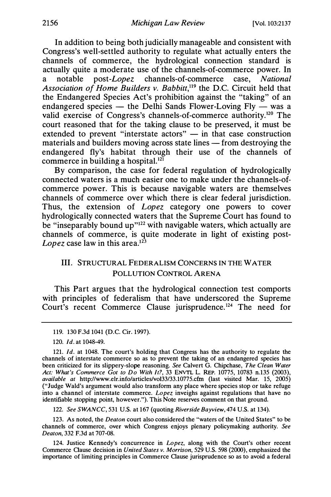In addition to being both judicially manageable and consistent with Congress's well-settled authority to regulate what actually enters the channels of commerce, the hydrological connection standard is actually quite a moderate use of the channels-of-commerce power. In a notable post-Lopez channels-of-commerce case, National Association of Home Builders v. Babbitt,<sup>119</sup> the D.C. Circuit held that the Endangered Species Act's prohibition against the "taking" of an endangered species — the Delhi Sands Flower-Loving Fly — was a valid exercise of Congress's channels-of-commerce authority.<sup>120</sup> The court reasoned that for the taking clause to be preserved, it must be extended to prevent "interstate  $\arccos$ "  $-$  in that case construction materials and builders moving across state lines — from destroying the endangered fly's habitat through their use of the channels of commerce in building a hospital.<sup>121</sup>

By comparison, the case for federal regulation of hydrologically connected waters is a much easier one to make under the channels-ofcommerce power. This is because navigable waters are themselves channels of commerce over which there is clear federal jurisdiction. Thus, the extension of Lopez category one powers to cover hydrologically connected waters that the Supreme Court has found to be "inseparably bound up"<sup>122</sup> with navigable waters, which actually are channels of commerce, is quite moderate in light of existing post-Lopez case law in this area. $12^3$ 

# Ill. STRUCTURAL FEDERALISM CONCERNS IN THE W ATER POLLUTION CONTROL ARENA

This Part argues that the hydrological connection test comports with principles of federalism that have underscored the Supreme Court's recent Commerce Clause jurisprudence.124 The need for

122. See SWANCC, 531 U.S. at 167 (quoting Riverside Bayview, 474 U.S. at 134).

123. As noted, the Deaton court also considered the "waters of the United States" to be channels of commerce, over which Congress enjoys plenary policymaking authority. See Deaton, 332 F.3d at 707-08.

124. Justice Kennedy's concurrence in Lopez, along with the Court's other recent Commerce Clause decision in United States v. Morrison, 529 U.S. 598 (2000), emphasized the importance of limiting principles in Commerce Clause jurisprudence so as to avoid a federal

<sup>119. 130</sup> F.3d 1041 (D.C. Cir. 1997).

<sup>120.</sup> Id. at 1048-49.

<sup>121.</sup> Id. at 1048. The court's holding that Congress has the authority to regulate the channels of interstate commerce so as to prevent the taking of an endangered species has been criticized for its slippery-slope reasoning. See Calvert G. Chipchase, The Clean Water Act: What's Commerce Got to Do With It?, 33 ENVTL L. REP. 10775, 10783 n.135 (2003), available at http://www.elr.info/articles/vol33/33.10775.cfm (last visited Mar. 15, 2005) ("Judge Wald's argument would also transform any place where species stop or take refuge into a channel of interstate commerce. Lopez inveighs against regulations that have no identifiable stopping point, however."). This Note reserves comment on that ground.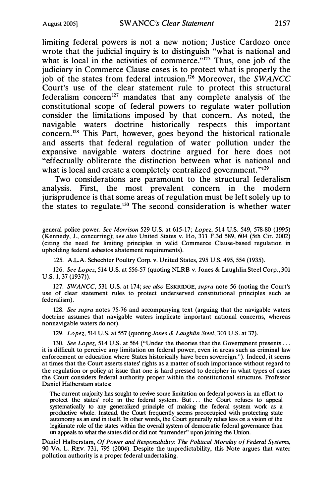limiting federal powers is not a new notion; Justice Cardozo once wrote that the judicial inquiry is to distinguish "what is national and what is local in the activities of commerce."<sup>125</sup> Thus, one job of the judiciary in Commerce Clause cases is to protect what is properly the job of the states from federal intrusion.<sup>126</sup> Moreover, the  $\overline{SWANCC}$ Court's use of the clear statement rule to protect this structural federalism concern<sup>127</sup> mandates that any complete analysis of the constitutional scope of federal powers to regulate water pollution consider the limitations imposed by that concern. As noted, the navigable waters doctrine historically respects this important concem.128 This Part, however, goes beyond the historical rationale and asserts that federal regulation of water pollution under the expansive navigable waters doctrine argued for here does not "effectually obliterate the distinction between what is national and what is local and create a completely centralized government."<sup>129</sup>

Two considerations are paramount to the structural federalism analysis. First, the most prevalent concern in the modem jurisprudence is that some areas of regulation must be left solely up to the states to regulate.<sup>130</sup> The second consideration is whether water

general police power. See Morrison 529 U.S. at 615-17; Lopez, 514 U.S. 549, 578-80 (1995) (Kennedy, J., concurring); see also United States v. Ho, 311 F.3d 589, 604 (5th Cir. 2002) (citing the need for limiting principles in valid Commerce Clause-based regulation in upholding federal asbestos abatement requirements).

125. A.L.A. Schechter Poultry Corp. v. United States, 295 U.S. 495, 554 (1935).

126. See Lopez, 514 U.S. at 556-57 (quoting NLRB v. Jones & Laughlin Steel Corp., 301 U.S. 1, 37 (1937)).

127. SWANCC, 531 U.S. at 174; see also ESKRIDGE, supra note 56 (noting the Court's use of clear statement rules to protect underserved constitutional principles such as federalism).

128. See supra notes 75-76 and accompanying text (arguing that the navigable waters doctrine assumes that navigable waters implicate important national concerns, whereas nonnavigable waters do not).

129. Lopez, 514 U.S. at 557 (quoting Jones & Laughlin Steel, 301 U.S. at 37).

130. See Lopez, 514 U.S. at 564 ("Under the theories that the Government presents ... it is difficult to perceive any limitation on federal power, even in areas such as criminal law enforcement or education where States historically have been sovereign."). Indeed, it seems at times that the Court asserts states' rights as a matter of such importance without regard to the regulation or policy at issue that one is hard pressed to decipher in what types of cases the Court considers federal authority proper within the constitutional structure. Professor Daniel Halberstam states:

The current majority has sought to revive some limitation on federal powers in an effort to protect the states' role in the federal system. But . . . the Court refuses to appeal systematically to any generalized principle of making the federal system work as a productive whole. Instead, the Court frequently seems preoccupied with protecting state autonomy as an end in itself. In other words, the Court generally relies less on a vision of the legitimate role of the states within the overall system of democratic federal governance than on appeals to what the states did or did not "surrender" upon joining the Union.

Daniel Halberstam, Of Power and Responsibility: The Political Morality of Federal Systems, 90 VA. L. REV. 731, 795 (2004). Despite the unpredictability, this Note argues that water pollution authority is a proper federal undertaking.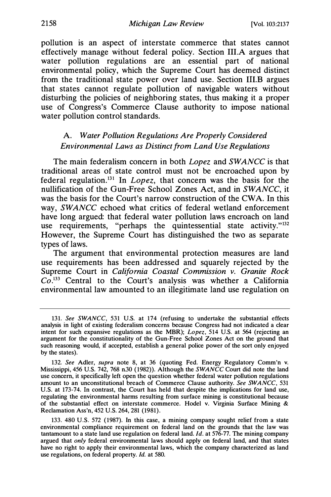pollution is an aspect of interstate commerce that states cannot effectively manage without federal policy. Section III.A argues that water pollution regulations are an essential part of national environmental policy, which the Supreme Court has deemed distinct from the traditional state power over land use. Section 111.B argues that states cannot regulate pollution of navigable waters without disturbing the policies of neighboring states, thus making it a proper use of Congress's Commerce Clause authority to impose national water pollution control standards.

# A. Water Pollution Regulations Are Properly Considered Environmental Laws as Distinct from Land Use Regulations

The main federalism concern in both *Lopez* and SWANCC is that traditional areas of state control must not be encroached upon by federal regulation.<sup>131</sup> In *Lopez*, that concern was the basis for the nullification of the Gun-Free School Zones Act, and in SWANCC, it was the basis for the Court's narrow construction of the CWA. In this way, SWANCC echoed what critics of federal wetland enforcement have long argued: that federal water pollution laws encroach on land use requirements, "perhaps the quintessential state activity."<sup>132</sup> However, the Supreme Court has distinguished the two as separate types of laws.

The argument that environmental protection measures are land use requirements has been addressed and squarely rejected by the Supreme Court in California Coastal Commission v. Granite Rock  $Co<sup>133</sup>$  Central to the Court's analysis was whether a California environmental law amounted to an illegitimate land use regulation on

<sup>131.</sup> See SWANCC, 531 U.S. at 174 (refusing to undertake the substantial effects analysis in light of existing federalism concerns because Congress had not indicated a clear intent for such expansive regulations as the MBR); Lopez, 514 U.S. at 564 (rejecting an argument for the constitutionality of the Gun-Free School Zones Act on the ground that such reasoning would, if accepted, establish a general police power of the sort only enjoyed by the states).

<sup>132.</sup> See Adler, supra note 8, at 36 (quoting Fed. Energy Regulatory Comm'n v. Mississippi, 456 U.S. 742, 768 n.30 (1982)). Although the SWANCC Court did note the land use concern, it specifically left open the question whether federal water pollution regulations amount to an unconstitutional breach of Commerce Clause authority. See SWANCC, 531 U.S. at 173-74. In contrast, the Court has held that despite the implications for land use, regulating the environmental harms resulting from surface mining is constitutional because of the substantial effect on interstate commerce. Hodel v. Virginia Surface Mining & Reclamation Ass'n, 452 U.S. 264, 281 (1981).

<sup>133. 480</sup> U.S. 572 (1987). In this case, a mining company sought relief from a state environmental compliance requirement on federal land on the grounds that the law was tantamount to a state land use regulation on federal land.  $Id$ . at 576-77. The mining company argued that only federal environmental laws should apply on federal land, and that states have no right to apply their environmental laws, which the company characterized as land use regulations, on federal property. Id. at 580.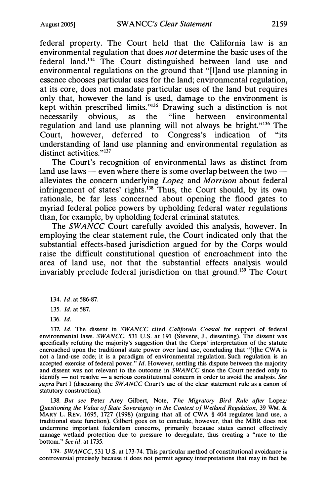federal property. The Court held that the California law is an environmental regulation that does not determine the basic uses of the federal land. 134 The Court distinguished between land use and environmental regulations on the ground that "[l]and use planning in essence chooses particular uses for the land; environmental regulation, at its core, does not mandate particular uses of the land but requires only that, however the land is used, damage to the environment is kept within prescribed limits."<sup>135</sup> Drawing such a distinction is not necessarily obvious, as the "line between environmental necessarily obvious, as the "line between environmental regulation and land use planning will not always be bright. "136 The Court, however, deferred to Congress's indication of "its understanding of land use planning and environmental regulation as distinct activities."<sup>137</sup>

The Court's recognition of environmental laws as distinct from land use laws  $-$  even where there is some overlap between the two  $$ alleviates the concern underlying Lopez and Morrison about federal infringement of states' rights.<sup>138</sup> Thus, the Court should, by its own rationale, be far less concerned about opening the flood gates to myriad federal police powers by upholding federal water regulations than, for example, by upholding federal criminal statutes.

The SWANCC Court carefully avoided this analysis, however. In employing the clear statement rule, the Court indicated only that the substantial effects-based jurisdiction argued for by the Corps would raise the difficult constitutional question of encroachment into the area of land use, not that the substantial effects analysis would invariably preclude federal jurisdiction on that ground.139 The Court

138. But see Peter Arey Gilbert, Note, The Migratory Bird Rule after Lopez. Questioning the Value of State Sovereignty in the Context of Wetland Regulation, 39 WM. & MARY L. REV. 1695, 1727 (1998) (arguing that all of CWA § 404 regulates land use, a traditional state function). Gilbert goes on to conclude, however, that the MBR does not undermine important federalism concerns, primarily because states cannot effectively manage wetland protection due to pressure to deregulate, thus creating a "race to the bottom." See id. at 1735.

139. SWANCC, 531 U.S. at 173-74. This particular method of constitutional avoidance is controversial precisely because it does not permit agency interpretations that may in fact be

<sup>134.</sup> Id. at 586-87.

<sup>135.</sup> Id. at 587.

<sup>136.</sup> Id.

<sup>137.</sup> Id. The dissent in SWANCC cited California Coastal for support of federal environmental laws. SWANCC, 531 U.S. at 191 (Stevens, J., dissenting). The dissent was specifically refuting the majority's suggestion that the Corps' interpretation of the statute encroached upon the traditional state power over land use, concluding that "[t]he CWA is not a land-use code; it is a paradigm of environmental regulation. Such regulation is an accepted exercise of federal power." Id. However, settling this dispute between the majority and dissent was not relevant to the outcome in SWANCC since the Court needed only to  $identity$  - not resolve - a serious constitutional concern in order to avoid the analysis. See supra Part I (discussing the SWANCC Court's use of the clear statement rule as a canon of statutory construction).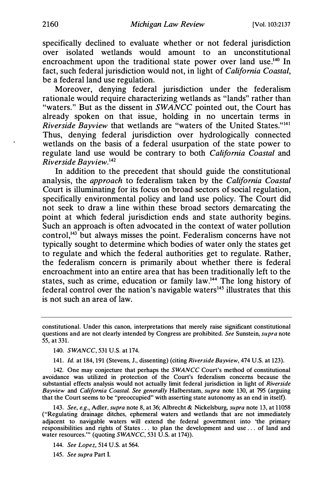specifically declined to evaluate whether or not federal jurisdiction over isolated wetlands would amount to an unconstitutional encroachment upon the traditional state power over land use.<sup>140</sup> In fact, such federal jurisdiction would not, in light of California Coastal, be a federal land use regulation.

Moreover, denying federal jurisdiction under the federalism rationale would require characterizing wetlands as "lands" rather than "waters." But as the dissent in SWANCC pointed out, the Court has already spoken on that issue, holding in no uncertain terms in Riverside Bayview that wetlands are "waters of the United States."<sup>141</sup> Thus, denying federal jurisdiction over hydrologically connected wetlands on the basis of a federal usurpation of the state power to regulate land use would be contrary to both *California Coastal* and Riverside Bayview.142

In addition to the precedent that should guide the constitutional analysis, the *approach* to federalism taken by the *California Coastal* Court is illuminating for its focus on broad sectors of social regulation, specifically environmental policy and land use policy. The Court did not seek to draw a line within these broad sectors demarcating the point at which federal jurisdiction ends and state authority begins. Such an approach is often advocated in the context of water pollution control,<sup>143</sup> but always misses the point. Federalism concerns have not typically sought to determine which bodies of water only the states get to regulate and which the federal authorities get to regulate. Rather, the federalism concern is primarily about whether there is federal encroachment into an entire area that has been traditionally left to the states, such as crime, education or family law.<sup>144</sup> The long history of federal control over the nation's navigable waters $145$  illustrates that this is not such an area of law.

141. Id. at 184, 191 (Stevens, J., dissenting) (citing Riverside Bayview, 474 U.S. at 123).

142. One may conjecture that perhaps the SWANCC Court's method of constitutional avoidance was utilized in protection of the Court's federalism concerns because the substantial effects analysis would not actually limit federal jurisdiction in light of Riverside Bayview and California Coastal. See generally Halberstam, supra note 130, at 795 (arguing that the Court seems to be "preoccupied" with asserting state autonomy as an end in itself).

143. See, e.g., Adler, supra note 8, at 36; Albrecht & Nickelsburg, supra note 13, at 11058 ("Regulating drainage ditches, ephemeral waters and wetlands that are not immediately adjacent to navigable waters will extend the federal government into 'the primary responsibilities and rights of States ... to plan the development and use ... of land and water resources."" (quoting SWANCC, 531 U.S. at 174)).

144. See Lopez, 514 U.S. at 564.

145. See supra Part I.

constitutional. Under this canon, interpretations that merely raise significant constitutional questions and are not clearly intended by Congress are prohibited. See Sunstein, supra note 55, at 331.

<sup>140.</sup> SWANCC, 531 U.S. at 174.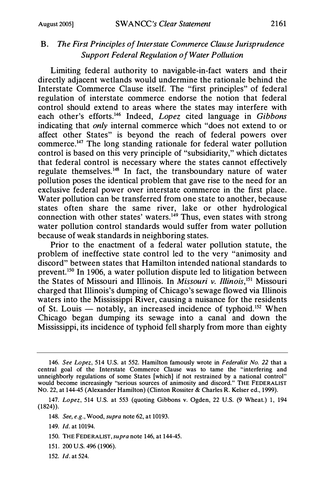# B. The First Principles of Interstate Commerce Clause Jurisprudence Support Federal Regulation of Water Pollution

Limiting federal authority to navigable-in-fact waters and their directly adjacent wetlands would undermine the rationale behind the Interstate Commerce Clause itself. The "first principles" of federal regulation of interstate commerce endorse the notion that federal control should extend to areas where the states may interfere with each other's efforts.<sup>146</sup> Indeed, *Lopez* cited language in Gibbons indicating that only internal commerce which "does not extend to or affect other States" is beyond the reach of federal powers over commerce.147 The long standing rationale for federal water pollution control is based on this very principle of "subsidiarity," which dictates that federal control is necessary where the states cannot effectively regulate themselves.148 In fact, the transboundary nature of water pollution poses the identical problem that gave rise to the need for an exclusive federal power over interstate commerce in the first place. Water pollution can be transferred from one state to another, because states often share the same river, lake or other hydrological connection with other states' waters.<sup>149</sup> Thus, even states with strong water pollution control standards would suffer from water pollution because of weak standards in neighboring states.

Prior to the enactment of a federal water pollution statute, the problem of ineffective state control led to the very "animosity and discord" between states that Hamilton intended national standards to prevent.150 In 1906, a water pollution dispute led to litigation between the States of Missouri and Illinois. In Missouri v. Illinois,  $151$  Missouri charged that Illinois's dumping of Chicago's sewage flowed via Illinois waters into the Mississippi River, causing a nuisance for the residents of St. Louis — notably, an increased incidence of typhoid.<sup>152</sup> When Chicago began dumping its sewage into a canal and down the Mississippi, its incidence of typhoid fell sharply from more than eighty

- 151. 200 U.S. 496 (1906).
- 152. Id. at 524.

<sup>146.</sup> See Lopez, 514 U.S. at 552. Hamilton famously wrote in Federalist No. 22 that a central goal of the Interstate Commerce Clause was to tame the "interfering and unneighborly regulations of some States [which] if not restrained by a national control" would become increasingly "serious sources of animosity and discord." THE FEDERALIST No. 22, at 144-45 (Alexander Hamilton) (Clinton Rossiter & Charles R. Keiser ed., 1999).

<sup>147.</sup> Lopez, 514 U.S. at 553 (quoting Gibbons v. Ogden, 22 U.S. (9 Wheat.) 1, 194 (1824)).

<sup>148.</sup> See, e.g., Wood, supra note 62, at 10193.

<sup>149.</sup> Id. at 10194.

<sup>150.</sup> THE FEDERALIST, supra note 146, at 144-45.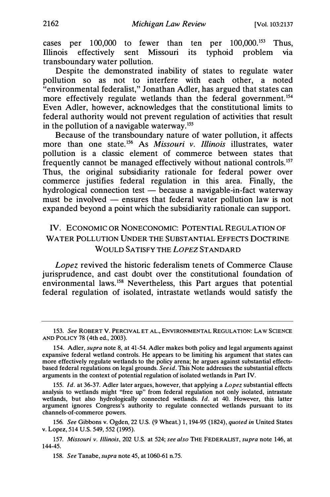cases per  $100,000$  to fewer than ten per  $100,000$ .<sup>153</sup> Thus, Illinois effectively sent Missouri its typhoid problem via transboundary water pollution.

Despite the demonstrated inability of states to regulate water pollution so as not to interfere with each other, a noted "environmental federalist," Jonathan Adler, has argued that states can more effectively regulate wetlands than the federal government.<sup>154</sup> Even Adler, however, acknowledges that the constitutional limits to federal authority would not prevent regulation of activities that result in the pollution of a navigable waterway.<sup>155</sup>

Because of the transboundary nature of water pollution, it affects more than one state.<sup>156</sup> As *Missouri v. Illinois* illustrates, water pollution is a classic element of commerce between states that frequently cannot be managed effectively without national controls.<sup>157</sup> Thus, the original subsidiarity rationale for federal power over commerce justifies federal regulation in this area. Finally, the hydrological connection test  $-\overline{\text{because}}$  a navigable-in-fact waterway must be involved  $-$  ensures that federal water pollution law is not expanded beyond a point which the subsidiarity rationale can support.

# IV. ECONOMIC OR NONECONOMIC: POTENTIAL REGULATION OF WATER POLLUTION UNDER THE SUBSTANTIAL EFFECTS DOCTRINE WOULD SATISFY THE LOPEZ STANDARD

Lopez revived the historic federalism tenets of Commerce Clause jurisprudence, and cast doubt over the constitutional foundation of environmental laws.158 Nevertheless, this Part argues that potential federal regulation of isolated, intrastate wetlands would satisfy the

155. Id. at 36-37. Adler later argues, however, that applying a Lopez substantial effects analysis to wetlands might "free up" from federal regulation not only isolated, intrastate wetlands, but also hydrologically connected wetlands. Id. at 40. However, this latter argument ignores Congress's authority to regulate connected wetlands pursuant to its channels-of-commerce powers.

156. See Gibbons v. Ogden, 22 U.S. (9 Wheat.) 1, 194-95 (1824), quoted in United States v. Lopez, 514 U.S. 549, 552 (1995).

157. Missouri v. Illinois, 202 U.S. at 524; see also THE FEDERALIST, supra note 146, at 144-45.

158. See Tanabe, supra note 45, at 1060-61 n.75.

<sup>153.</sup> See ROBERT V. PERCIVAL ET AL., ENVIRONMENTAL REGULATION: LAW SCIENCE AND POLICY 78 (4th ed., 2003).

<sup>154.</sup> Adler, supra note 8, at 41-54. Adler makes both policy and legal arguments against expansive federal wetland controls. He appears to be limiting his argument that states can more effectively regulate wetlands to the policy arena; he argues against substantial effectsbased federal regulations on legal grounds. See id. This Note addresses the substantial effects arguments in the context of potential regulation of isolated wetlands in Part IV.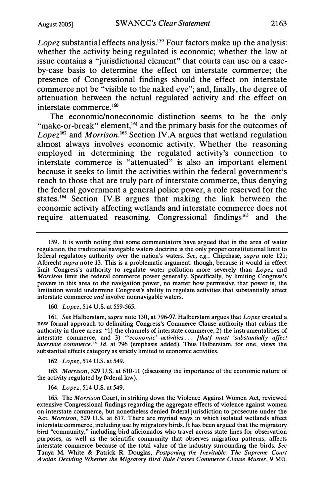Lopez substantial effects analysis.<sup>159</sup> Four factors make up the analysis: whether the activity being regulated is economic; whether the law at issue contains a "jurisdictional element" that courts can use on a caseby-case basis to determine the effect on interstate commerce; the presence of Congressional findings should the effect on interstate commerce not be "visible to the naked eye"; and, finally, the degree of attenuation between the actual regulated activity and the effect on interstate commerce.160

The economic/noneconomic distinction seems to be the only "make-or-break" element,<sup>161</sup> and the primary basis for the outcomes of Lopez<sup>162</sup> and Morrison.<sup>163</sup> Section IV.A argues that wetland regulation almost always involves economic activity. Whether the reasoning employed in determining the regulated activity's connection to interstate commerce is "attenuated" is also an important element because it seeks to limit the activities within the federal government's reach to those that are truly part of interstate commerce, thus denying the federal government a general police power, a role reserved for the states.164 Section IV.B argues that making the link between the economic activity affecting wetlands and interstate commerce does not require attenuated reasoning. Congressional findings<sup>165</sup> and the

160. Lopez, 514 U.S. at 559-565.

161. See Halberstam, supra note 130, at 796-97. Halberstam argues that Lopez created a new formal approach to delimiting Congress's Commerce Clause authority that cabins the authority in three areas: "1) the channels of interstate commerce, 2) the instrumentalities of interstate commerce, and 3) "economic' activities ... [that] must 'substantially affect interstate commerce."" Id. at 796 (emphasis added). Thus Halberstam, for one, views the substantial effects category as strictly limited to economic activities.

162. Lopez, 514 U.S. at 549.

163. Morrison, 529 U.S. at 610-11 (discussing the importance of the economic nature of the activity regulated by federal law).

164. Lopez, 514 U.S. at 549.

165. The Morrison Court, in striking down the Violence Against Women Act, reviewed extensive Congressional findings regarding the aggregate effects of violence against women on interstate commerce, but nonetheless denied federal jurisdiction to prosecute under the Act. Morrison, 529 U.S. at 617. There are myriad ways in which isolated wetlands affect interstate commerce, including use by migratory birds. It has been argued that the migratory bird "community," including bird aficionados who travel across state lines for observation purposes, as well as the scientific community that observes migration patterns, affects interstate commerce because of the total value of the industry surrounding the birds. See Tanya M. White & Patrick R. Douglas, Postponing the Inevitable: The Supreme Court A voids Deciding Whether the Migratory Bird Rule Passes Commerce Clause Muster, 9 Mo.

<sup>159.</sup> It is worth noting that some commentators have argued that in the area of water regulation, the traditional navigable waters doctrine is the only proper constitutional limit to federal regulatory authority over the nation's waters. See, e.g., Chipchase, supra note 121; Albrecht supra note 13. This is a problematic argument, though, because it would in effect limit Congress's authority to regulate water pollution more severely than *Lopez* and Morrison limit the federal commerce power generally. Specifically, by limiting Congress's powers in this area to the navigation power, no matter how permissive that power is, the limitation would undermine Congress's ability to regulate activities that substantially affect interstate commerce and involve nonnavigable waters.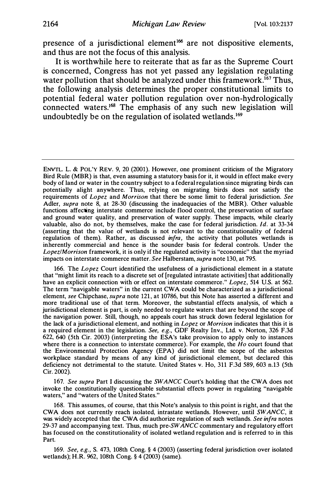presence of a jurisdictional element<sup>166</sup> are not dispositive elements, and thus are not the focus of this analysis.

It is worthwhile here to reiterate that as far as the Supreme Court is concerned, Congress has not yet passed any legislation regulating water pollution that should be analyzed under this framework.<sup>167</sup> Thus, the following analysis determines the proper constitutional limits to potential federal water pollution regulation over non-hydrologically connected waters.<sup>168</sup> The emphasis of any such new legislation will undoubtedly be on the regulation of isolated wetlands.<sup>169</sup>

166. The Lopez Court identified the usefulness of a jurisdictional element in a statute that "might limit its reach to a discrete set of [regulated intrastate activities) that additionally have an explicit connection with or effect on interstate commerce." Lopez, 514 U.S. at 562. The term "navigable waters" in the current CWA could be characterized as a jurisdictional element, see Chipchase, supra note 121, at 10786, but this Note has asserted a different and more traditional use of that term. Moreover, the substantial effects analysis, of which a jurisdictional element is part, is only needed to regulate waters that are beyond the scope of the navigation power. Still, though, no appeals court has struck down federal legislation for the lack of a jurisdictional element, and nothing in Lopez or Morrison indicates that this it is a required element in the legislation. See, e.g., GDF Realty Inv., Ltd. v. Norton, 326 F.3d 622, 640 (5th Cir. 2003) (interpreting the ESA's take provision to apply only to instances where there is a connection to interstate commerce). For example, the  $Ho$  court found that the Environmental Protection Agency (EPA) did not limit the scope of the asbestos workplace standard by means of any kind of jurisdictional element, but declared this deficiency not detrimental to the statute. United States v. Ho, 311 F.3d 589, 603 n.13 (5th Cir. 2002).

167. See supra Part I discussing the SWANCC Court's holding that the CWA does not invoke the constitutionally questionable substantial effects power in regulating "navigable waters," and "waters of the United States."

168. This assumes, of course, that this Note's analysis to this point is right, and that the CWA does not currently reach isolated, intrastate wetlands. However, until SWANCC, it was widely accepted that the CWA did authorize regulation of such wetlands. See infra notes 29-37 and accompanying text. Thus, much pre-SWANCC commentary and regulatory effort has focused on the constitutionality of isolated wetland regulation and is referred to in this Part.

169. See, e.g., S. 473, 108th Cong. § 4 (2003) (asserting federal jurisdiction over isolated wetlands); H.R. 962, 108th Cong. § 4 (2003) (same).

ENvrL. L. & POL'Y REV. 9, 20 (2001). However, one prominent criticism of the Migratory Bird Rule (MBR) is that, even assuming a statutory basis for it, it would in effect make every body of land or water in the country subject to a federal regulation since migrating birds can potentially alight anywhere. Thus, relying on migrating birds does not satisfy the requirements of Lopez and Morrison that there be some limit to federal jurisdiction. See Adler, *supra* note 8, at 28-30 (discussing the inadequacies of the MBR). Other valuable functions affecting interstate commerce include flood control, the preservation of surface and ground water quality, and preservation of water supply. These impacts, while clearly valuable, also do not, by themselves, make the case for federal jurisdiction. Id. at 33-34 (asserting that the value of wetlands is not relevant to the constitutionality of federal regulation of them). Rather, as discussed *infra*, the activity that pollutes wetlands is inherently commercial and hence is the sounder basis for federal controls. Under the Lopez/Morrison framework, it is only if the regulated activity is "economic" that the myriad impacts on interstate commerce matter. See Halberstam, supra note 130, at 795.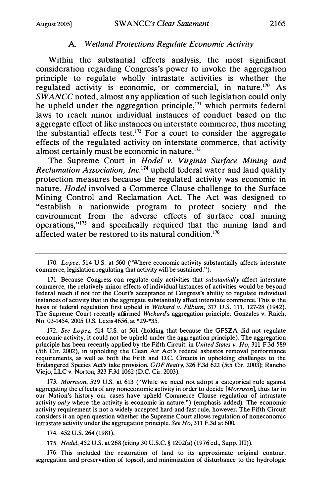#### A. Wetland Protections Regulate Economic Activity

Within the substantial effects analysis, the most significant consideration regarding Congress's power to invoke the aggregation principle to regulate wholly intrastate activities is whether the regulated activity is economic, or commercial, in nature.170 As  $\overline{SWANCE}$  noted, almost any application of such legislation could only be upheld under the aggregation principle, $171$  which permits federal laws to reach minor individual instances of conduct based on the aggregate effect of like instances on interstate commerce, thus meeting the substantial effects test.<sup>172</sup> For a court to consider the aggregate effects of the regulated activity on interstate commerce, that activity almost certainly must be economic in nature. $173$ 

The Supreme Court in Hodel v. Virginia Surface Mining and Reclamation Association, Inc.174 upheld federal water and land quality protection measures because the regulated activity was economic in nature. Hodel involved a Commerce Clause challenge to the Surface Mining Control and Reclamation Act. The Act was designed to "establish a nationwide program to protect society and the environment from the adverse effects of surface coal mining operations,"175 and specifically required that the mining land and affected water be restored to its natural condition.<sup>176</sup>

172. See Lopez, 514 U.S. at 561 (holding that because the GFSZA did not regulate economic activity, it could not be upheld under the aggregation principle). The aggregation principle has been recently applied by the Fifth Circuit, in United States v. Ho, 311 F.3d 589 (5th Cir. 2002), in upholding the Clean Air Act's federal asbestos removal performance requirements, as well as both the Fifth and D.C. Circuits in upholding challenges to the Endangered Species Act's take provision. GDF Realty, 326 F.3d 622 (5th Cir. 2003); Rancho Viejo, LLC v. Norton, 323 F.3d 1062 (D.C. Cir. 2003).

173. Morrison, 529 U.S. at 613 ("While we need not adopt a categorical rule against aggregating the effects of any noneconomic activity in order to decide [Morrison], thus far in our Nation's history our cases have upheld Commerce Clause regulation of intrastate activity *only* where the activity is economic in nature.") (emphasis added). The economic activity requirement is not a widely-accepted hard-and-fast rule, however. The Fifth Circuit considers it an open question whether the Supreme Court allows regulation of noneconomic intrastate activity under the aggregation principle. See Ho, 311 F.3d at 600.

174. 452 U.S. 264 (1981).

175. Hodel, 452 U.S. at 268 (citing 30 U.S.C. § 1202(a) (1976 ed., Supp. III)).

176. This included the restoration of land to its approximate original contour, segregation and preservation of topsoil, and minimization of disturbance to the hydrologic

<sup>170.</sup> Lopez, 514 U.S. at 560 ("Where economic activity substantially affects interstate commerce, legislation regulating that activity will be sustained.").

<sup>171.</sup> Because Congress can regulate only activities that *substantially* affect interstate commerce, the relatively minor effects of individual instances of activities would be beyond federal reach if not for the Court's acceptance of Congress's ability to regulate individual instances of activity that in the aggregate substantially affect interstate commerce. This is the basis of federal regulation first upheld in Wickard v. Filbum, 317 U.S. 111, 127-28 (1942). The Supreme Court recently affirmed Wickard's aggregation principle. Gonzales v. Raich, No. 03-1454, 2005 U.S. Lexis 4656, at \*29-\*35.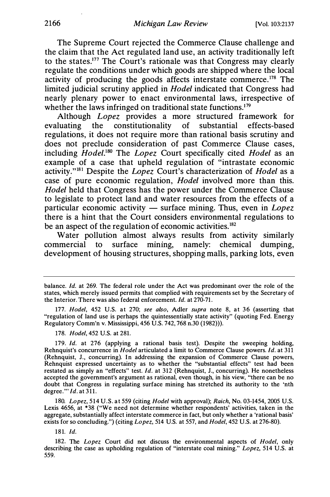The Supreme Court rejected the Commerce Clause challenge and the claim that the Act regulated land use, an activity traditionally left to the states.177 The Court's rationale was that Congress may clearly regulate the conditions under which goods are shipped where the local activity of producing the goods affects interstate commerce.178 The limited judicial scrutiny applied in Hodel indicated that Congress had nearly plenary power to enact environmental laws, irrespective of whether the laws infringed on traditional state functions.<sup>179</sup>

Although *Lopez* provides a more structured framework for evaluating the constitutionality of substantial effects-based regulations, it does not require more than rational basis scrutiny and does not preclude consideration of past Commerce Clause cases, including Hodel.<sup>180</sup> The Lopez Court specifically cited Hodel as an example of a case that upheld regulation of "intrastate economic activity."<sup>181</sup> Despite the *Lopez* Court's characterization of *Hodel* as a case of pure economic regulation, Hodel involved more than this. Hodel held that Congress has the power under the Commerce Clause to legislate to protect land and water resources from the effects of a particular economic activity  $-$  surface mining. Thus, even in Lopez there is a hint that the Court considers environmental regulations to be an aspect of the regulation of economic activities.<sup>182</sup>

Water pollution almost always results from activity similarly commercial to surface mining, namely: chemical dumping, development of housing structures, shopping malls, parking lots, even

177. Hodel, 452 U.S. at 270; see also, Adler supra note 8, at 36 (asserting that "regulation of land use is perhaps the quintessentially state activity" (quoting Fed. Energy Regulatory Comm'n v. Mississippi, 456 U.S. 742, 768 n.30 (1982))).

178. Hodel, 452 U.S. at 281.

179. Id. at 276 (applying a rational basis test). Despite the sweeping holding, Rehnquist's concurrence in Hodel articulated a limit to Commerce Clause powers. Id. at 311 (Rehnquist, J., concurring). In addressing the expansion of Commerce Clause powers, Rehnquist expressed uncertainty as to whether the "substantial effects" test had been restated as simply an "effects" test. Id. at 312 (Rehnquist, J., concurring). He nonetheless accepted the government's argument as rational, even though, in his view, "there can be no doubt that Congress in regulating surface mining has stretched its authority to the 'nth degree."'  $Id.$  at  $311.$ 

180. Lopez, 514 U.S. at 559 (citing Hodel with approval); Raich, No. 03-1454, 2005 U.S. Lexis 4656, at \*38 ("We need not determine whether respondents' activities, taken in the aggregate, substantially affect interstate commerce in fact, but only whether a 'rational basis' exists for so concluding.") (citing Lopez, 514 U.S. at 557, and Hodel, 452 U.S. at 276-80).

181. Id.

182. The Lopez Court did not discuss the environmental aspects of Hodel, only describing the case as upholding regulation of "interstate coal mining." Lopez, 514 U.S. at 559.

balance. Id. at 269. The federal role under the Act was predominant over the role of the states, which merely issued permits that complied with requirements set by the Secretary of the Interior. There was also federal enforcement. Id. at 270-71.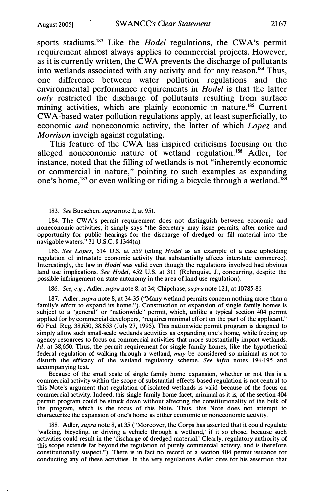sports stadiums.<sup>183</sup> Like the *Hodel* regulations, the CWA's permit requirement almost always applies to commercial projects. However, as it is currently written, the CWA prevents the discharge of pollutants into wetlands associated with any activity and for any reason.<sup>184</sup> Thus, one difference between water pollution regulations and the environmental performance requirements in *Hodel* is that the latter only restricted the discharge of pollutants resulting from surface mining activities, which are plainly economic in nature.<sup>185</sup> Current CW A-based water pollution regulations apply, at least superficially, to economic and noneconomic activity, the latter of which Lopez and Morrison inveigh against regulating.

This feature of the CWA has inspired criticisms focusing on the alleged noneconomic nature of wetland regulation.<sup>186</sup> Adler, for instance, noted that the filling of wetlands is not "inherently economic or commercial in nature," pointing to such examples as expanding one's home,<sup>187</sup> or even walking or riding a bicycle through a wetland.<sup>188</sup>

183. See Bueschen, supra note 2, at 951.

184. The CWA's permit requirement does not distinguish between economic and noneconomic activities; it simply says "the Secretary may issue permits, after notice and opportunity for public hearings for the discharge of dredged or fill material into the navigable waters." 31 U.S.C. § 1344(a).

185. See Lopez, 514 U.S. at 559 (citing *Hodel* as an example of a case upholding regulation of intrastate economic activity that substantially affects interstate commerce). Interestingly, the law in Hodel was valid even though the regulations involved had obvious land use implications. See Hodel, 452 U.S. at 311 (Rehnquist, J., concurring, despite the possible infringement on state autonomy in the area of land use regulation).

186. See, e.g., Adler, supra note 8, at 34; Chipchase, supra note 121, at 10785-86.

187. Adler, supra note 8, at 34-35 ("Many wetland permits concern nothing more than a family's effort to expand its home."). Construction or expansion of single family homes is subject to a "general" or "nationwide" permit, which, unlike a typical section 404 permit applied for by commercial developers, "requires minimal effort on the part of the applicant." 60 Fed. Reg. 38,650, 38,653 (July 27, 1995). This nationwide permit program is designed to simply allow such small-scale wetlands activities as expanding one's home, while freeing up agency resources to focus on commercial activities that more substantially impact wetlands.  $I\bar{d}$ . at 38,650. Thus, the permit requirement for single family homes, like the hypothetical federal regulation of walking through a wetland, may be considered so minimal as not to disturb the efficacy of the wetland regulatory scheme. See infra notes 194-195 and accompanying text.

Because of the small scale of single family home expansion, whether or not this is a commercial activity within the scope of substantial effects-based regulation is not central to this Note's argument that regulation of isolated wetlands is valid because of the focus on commercial activity. Indeed, this single family home facet, minimal as it is, of the section 404 permit program could be struck down without affecting the constitutionality of the bulk of the program, which is the focus of this Note. Thus, this Note does not attempt to characterize the expansion of one's home as either economic or noneconomic activity.

188. Adler, supra note 8, at 35 ("Moreover, the Corps has asserted that it could regulate 'walking, bicycling, or driving a vehicle through a wetland,' if it so chose, because such activities could result in the 'discharge of dredged material.' Clearly, regulatory authority of this scope extends far beyond the regulation of purely commercial activity, and is therefore constitutionally suspect."). There is in fact no record of a section 404 permit issuance for conducting any of these activities. In the very regulations Adler cites for his assertion that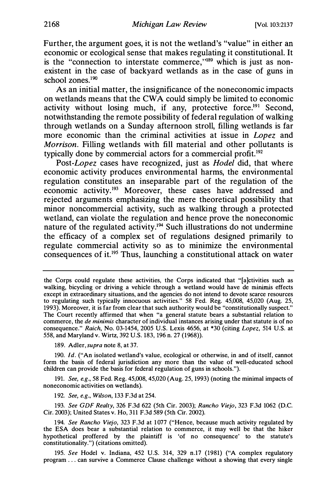Further, the argument goes, it is not the wetland's "value" in either an economic or ecological sense that makes regulating it constitutional. It is the "connection to interstate commerce,"<sup>189</sup> which is just as nonexistent in the case of backyard wetlands as in the case of guns in school zones.<sup>190</sup>

As an initial matter, the insignificance of the noneconomic impacts on wetlands means that the CW A could simply be limited to economic activity without losing much, if any, protective force.<sup>191</sup> Second, notwithstanding the remote possibility of federal regulation of walking through wetlands on a Sunday afternoon stroll, filling wetlands is far more economic than the criminal activities at issue in Lopez and Morrison. Filling wetlands with fill material and other pollutants is typically done by commercial actors for a commercial profit.<sup>192</sup>

Post-Lopez cases have recognized, just as Hodel did, that where economic activity produces environmental harms, the environmental regulation constitutes an inseparable part of the regulation of the economic activity.193 Moreover, these cases have addressed and rejected arguments emphasizing the mere theoretical possibility that minor noncommercial activity, such as walking through a protected wetland, can violate the regulation and hence prove the noneconomic nature of the regulated activity.194 Such illustrations do not undermine the efficacy of a complex set of regulations designed primarily to regulate commercial activity so as to minimize the environmental consequences of it.195 Thus, launching a constitutional attack on water

191. See, e.g., 58 Fed. Reg. 45,008, 45,020 (Aug. 25, 1993) (noting the minimal impacts of noneconomic activities on wetlands).

192. See, e.g., Wilson, 133 F.3d at 254.

193. See GDF Realty, 326 F.3d 622 (5th Cir. 2003); Rancho Viejo, 323 F.3d 1062 (D.C. Cir. 2003); United States v. Ho, 311 F.3d 589 (5th Cir. 2002).

195. See Hodel v. Indiana, 452 U.S. 314, 329 n.17 (1981) ("A complex regulatory program ... can survive a Commerce Clause challenge without a showing that every single

the Corps could regulate these activities, the Corps indicated that "[a]ctivities such as walking, bicycling or driving a vehicle through a wetland would have de minimis effects except in extraordinary situations, and the agencies do not intend to devote scarce resources to regulating such typically innocuous activities." 58 Fed. Reg. 45,008, 45,020 (Aug. 25, 1993). Moreover, it is far from clear that such authority would be "constitutionally suspect." The Court recently affirmed that when "a general statute bears a substantial relation to commerce, the de minimis character of individual instances arising under that statute is of no consequence." Raich, No. 03-1454, 2005 U.S. Lexis 4656, at \*30 (citing Lopez, 514 U.S. at 558, and Maryland v. Wirtz, 392 U.S. 183, 196 n. 27 (1968)).

<sup>189.</sup> Adler, supra note 8, at 37.

<sup>190.</sup> Id. ("An isolated wetland's value, ecological or otherwise, in and of itself, cannot form the basis of federal jurisdiction any more than the value of well-educated school children can provide the basis for federal regulation of guns in schools.").

<sup>194.</sup> See Rancho Viejo, 323 F.3d at 1077 ("Hence, because much activity regulated by the ESA does bear a substantial relation to commerce, it may well be that the hiker hypothetical proffered by the plaintiff is 'of no consequence' to the statute's constitutionality.") (citations omitted).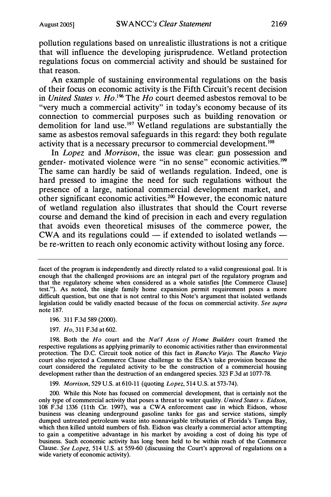pollution regulations based on unrealistic illustrations is not a critique that will influence the developing jurisprudence. Wetland protection regulations focus on commercial activity and should be sustained for that reason.

An example of sustaining environmental regulations on the basis of their focus on economic activity is the Fifth Circuit's recent decision in United States v. Ho.<sup>196</sup> The Ho court deemed asbestos removal to be "very much a commercial activity" in today's economy because of its connection to commercial purposes such as building renovation or demolition for land use.<sup>197</sup> Wetland regulations are substantially the same as asbestos removal safeguards in this regard: they both regulate activity that is a necessary precursor to commercial development.<sup>198</sup>

In *Lopez* and *Morrison*, the issue was clear: gun possession and gender- motivated violence were "in no sense" economic activities.199 The same can hardly be said of wetlands regulation. Indeed, one is hard pressed to imagine the need for such regulations without the presence of a large, national commercial development market, and other significant economic activities.200 However, the economic nature of wetland regulation also illustrates that should the Court reverse course and demand the kind of precision in each and every regulation that avoids even theoretical misuses of the commerce power, the CWA and its regulations could  $-$  if extended to isolated wetlands  $$ be re-written to reach only economic activity without losing any force.

196. 311 F.3d 589 (2000).

197. Ho, 311 F.3d at 602.

198. Both the Ho court and the Nat'l Assn of Home Builders court framed the respective regulations as applying primarily to economic activities rather than environmental protection. The D.C. Circuit took notice of this fact in Rancho Viejo. The Rancho Viejo court also rejected a Commerce Clause challenge to the ESA's take provision because the court considered the regulated activity to be the construction of a commercial housing development rather than the destruction of an endangered species. 323 F.3d at 1077-78.

199. Morrison, 529 U.S. at 610-11 (quoting Lopez, 514 U.S. at 573-74).

200. While this Note has focused on commercial development, that is certainly not the only type of commercial activity that poses a threat to water quality. United States v. Eidson, 108 F.3d 1336 (11th Cir. 1997), was a CWA enforcement case in which Eidson, whose business was cleaning underground gasoline tanks for gas and service stations, simply dumped untreated petroleum waste into nonnavigable tributaries of Florida's Tampa Bay, which then killed untold numbers of fish. Eidson was clearly a commercial actor attempting to gain a competitive advantage in his market by avoiding a cost of doing his type of business. Such economic activity has long been held to be within reach of the Commerce Clause. See Lopez, 514 U.S. at 559-60 (discussing the Court's approval of regulations on a wide variety of economic activity).

facet of the program is independently and directly related to a valid congressional goal. It is enough that the challenged provisions are an integral part of the regulatory program and that the regulatory scheme when considered as a whole satisfies [the Commerce Oause] test."). As noted, the single family home expansion permit requirement poses a more difficult question, but one that is not central to this Note's argument that isolated wetlands legislation could be validly enacted because of the focus on commercial activity. See supra note 187.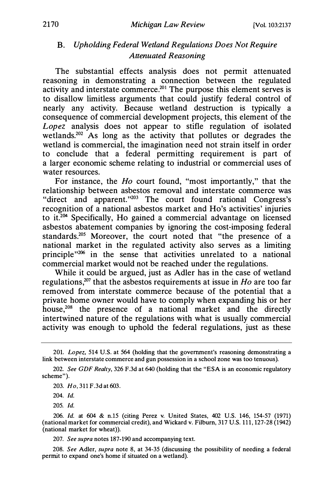# B. Upholding Federal Wetland Regulations Does Not Require Attenuated Reasoning

The substantial effects analysis does not permit attenuated reasoning in demonstrating a connection between the regulated activity and interstate commerce.<sup>201</sup> The purpose this element serves is to disallow limitless arguments that could justify federal control of nearly any activity. Because wetland destruction is typically a consequence of commercial development projects, this element of the  $L$ opez analysis does not appear to stifle regulation of isolated wetlands.<sup>202</sup> As long as the activity that pollutes or degrades the wetland is commercial, the imagination need not strain itself in order to conclude that a federal permitting requirement is part of a larger economic scheme relating to industrial or commercial uses of water resources.

For instance, the H<sub>o</sub> court found, "most importantly," that the relationship between asbestos removal and interstate commerce was "direct and apparent."203 The court found rational Congress's recognition of a national asbestos market and Ho's activities' injuries to it.204 Specifically, Ho gained a commercial advantage on licensed asbestos abatement companies by ignoring the cost-imposing federal standards.<sup>205</sup> Moreover, the court noted that "the presence of a national market in the regulated activity also serves as a limiting principle"206 in the sense that activities unrelated to a national commercial market would not be reached under the regulations.

While it could be argued, just as Adler has in the case of wetland regulations,<sup>207</sup> that the asbestos requirements at issue in  $Ho$  are too far removed from interstate commerce because of the potential that a private home owner would have to comply when expanding his or her house,<sup>208</sup> the presence of a national market and the directly intertwined nature of the regulations with what is usually commercial activity was enough to uphold the federal regulations, just as these

204. Id.

205. Id.

206. Id. at 604 & n.15 (citing Perez v. United States, 402 U.S. 146, 154-57 (1971) (national market for commercial credit), and Wickard v. Filburn, 317 U.S. 111, 127-28 (1942) (national market for wheat)).

207. See supra notes 187-190 and accompanying text.

208. See Adler, supra note 8, at 34-35 (discussing the possibility of needing a federal permit to expand one's home if situated on a wetland).

<sup>201.</sup> Lopez, 514 U.S. at 564 (holding that the government's reasoning demonstrating a link between interstate commerce and gun possession in a school zone was too tenuous).

<sup>202.</sup> See GDF Realty, 326 F.3d at 640 (holding that the "ESA is an economic regulatory scheme").

<sup>203.</sup> Ho, 311 F.3d at 603.